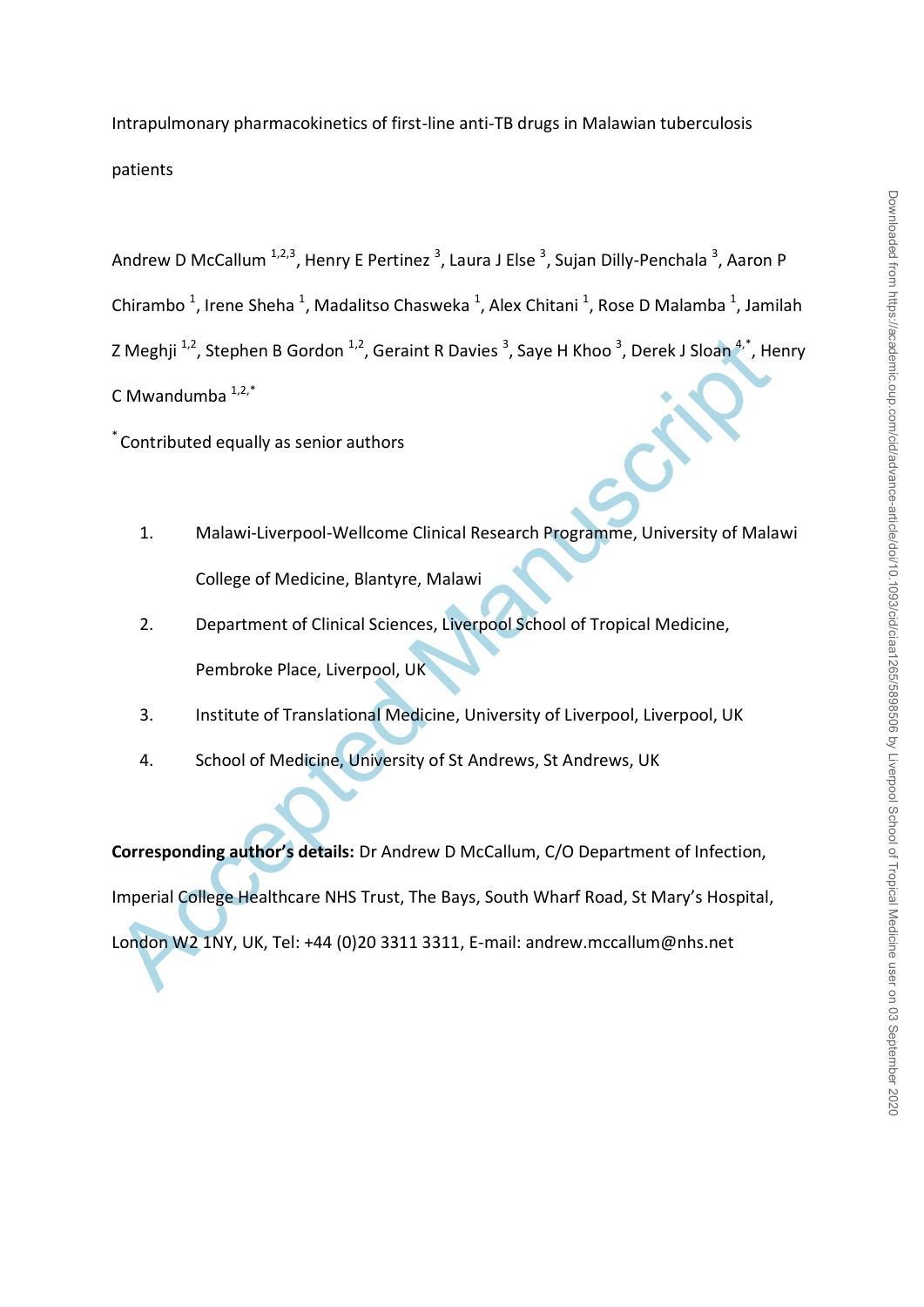Intrapulmonary pharmacokinetics of first-line anti-TB drugs in Malawian tuberculosis patients

Andrew D McCallum <sup>1,2,3</sup>, Henry E Pertinez <sup>3</sup>, Laura J Else <sup>3</sup>, Sujan Dilly-Penchala <sup>3</sup>, Aaron P Chirambo<sup>1</sup>, Irene Sheha<sup>1</sup>, Madalitso Chasweka<sup>1</sup>, Alex Chitani<sup>1</sup>, Rose D Malamba<sup>1</sup>, Jamilah Z Meghji <sup>1,2</sup>, Stephen B Gordon <sup>1,2</sup>, Geraint R Davies <sup>3</sup>, Saye H Khoo <sup>3</sup>, Derek J Sloan <sup>4,\*</sup>, Henry C Mwandumba  $1,2,*$ 

\* Contributed equally as senior authors

- 1. Malawi-Liverpool-Wellcome Clinical Research Programme, University of Malawi College of Medicine, Blantyre, Malawi
- 2. Department of Clinical Sciences, Liverpool School of Tropical Medicine, Pembroke Place, Liverpool, UK
- 3. Institute of Translational Medicine, University of Liverpool, Liverpool, UK
- 4. School of Medicine, University of St Andrews, St Andrews, UK

2 Meghji <sup>1,2</sup>, Stephen B Gordon <sup>1,2</sup>, Geraint R Davies<sup>3</sup>, Saye H Khoo<sup>3</sup>, Derek J Sloan<sup>4,2</sup>, He<br>
C Mwandumba <sup>1,2,</sup><br>
Contributed equally as senior authors<br>
1. Malawi-Liverpool-Wellcome Clinical Research Programme, Univ **Corresponding author's details:** Dr Andrew D McCallum, C/O Department of Infection, Imperial College Healthcare NHS Trust, The Bays, South Wharf Road, St Mary's Hospital, London W2 1NY, UK, Tel: +44 (0)20 3311 3311, E-mail: andrew.mccallum@nhs.net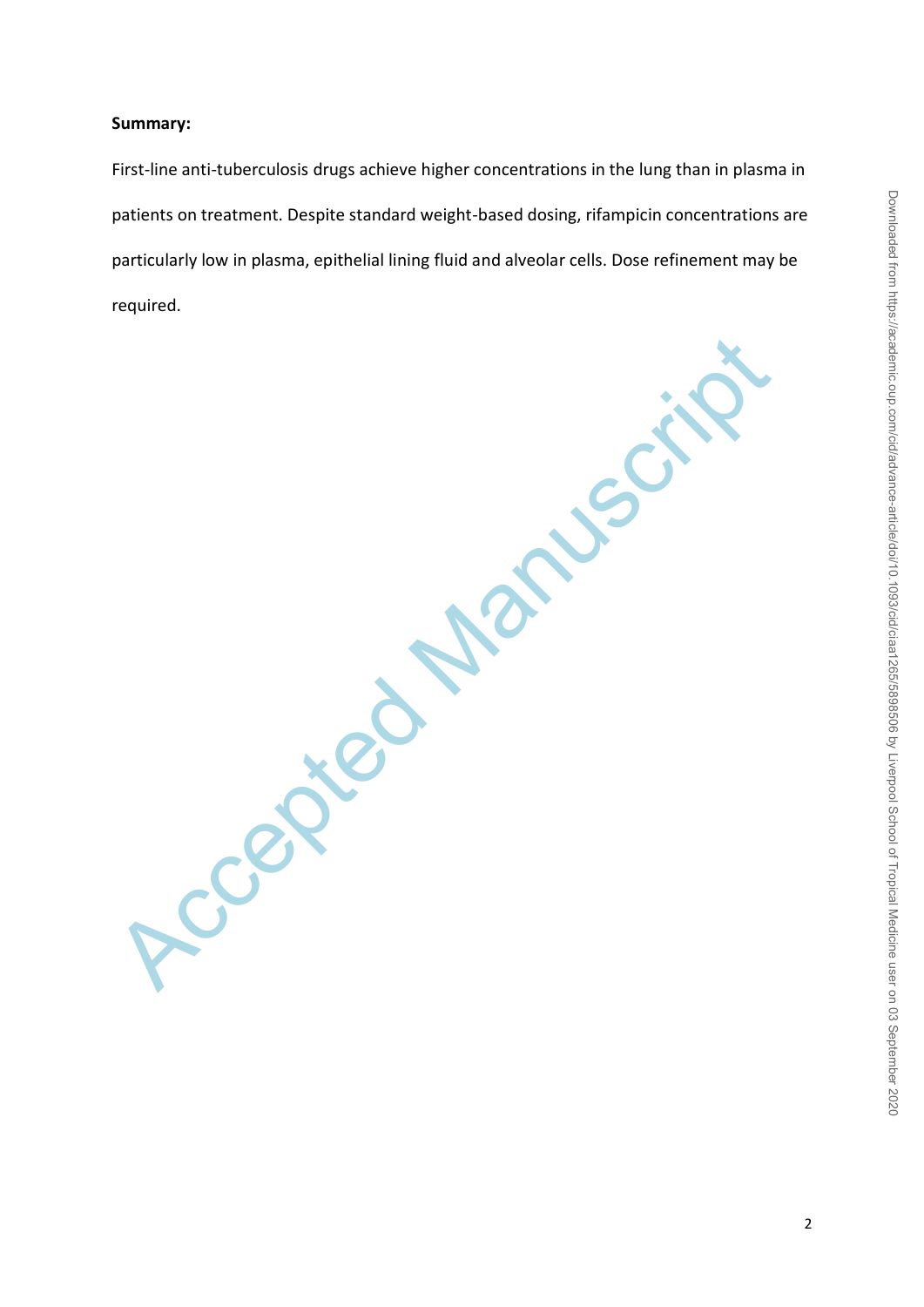### **Summary:**

First-line anti-tuberculosis drugs achieve higher concentrations in the lung than in plasma in patients on treatment. Despite standard weight-based dosing, rifampicin concentrations are particularly low in plasma, epithelial lining fluid and alveolar cells. Dose refinement may be required.

Accepted Manuscript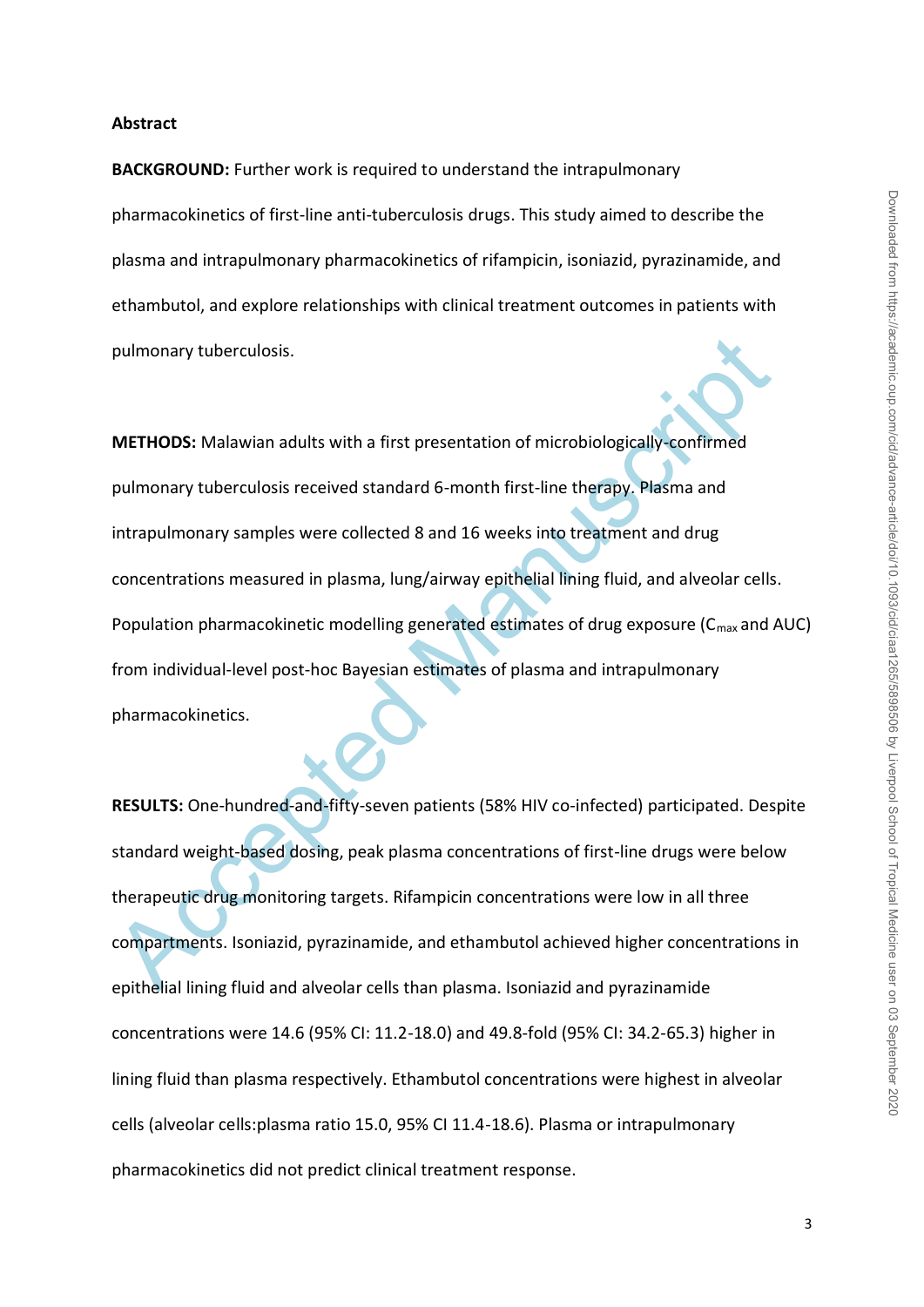#### **Abstract**

**BACKGROUND:** Further work is required to understand the intrapulmonary pharmacokinetics of first-line anti-tuberculosis drugs. This study aimed to describe the plasma and intrapulmonary pharmacokinetics of rifampicin, isoniazid, pyrazinamide, and ethambutol, and explore relationships with clinical treatment outcomes in patients with pulmonary tuberculosis.

pulmonary tuberculosis.<br> **METHODS:** Malawian adults with a first presentation of microbiologically-confirmed<br>
pulmonary tuberculosis received standard 6-month first-line therapy. Plasma and<br>
intrapulmonary samples were col **METHODS:** Malawian adults with a first presentation of microbiologically-confirmed pulmonary tuberculosis received standard 6-month first-line therapy. Plasma and intrapulmonary samples were collected 8 and 16 weeks into treatment and drug concentrations measured in plasma, lung/airway epithelial lining fluid, and alveolar cells. Population pharmacokinetic modelling generated estimates of drug exposure ( $C_{\text{max}}$  and AUC) from individual-level post-hoc Bayesian estimates of plasma and intrapulmonary pharmacokinetics.

**RESULTS:** One-hundred-and-fifty-seven patients (58% HIV co-infected) participated. Despite standard weight-based dosing, peak plasma concentrations of first-line drugs were below therapeutic drug monitoring targets. Rifampicin concentrations were low in all three compartments. Isoniazid, pyrazinamide, and ethambutol achieved higher concentrations in epithelial lining fluid and alveolar cells than plasma. Isoniazid and pyrazinamide concentrations were 14.6 (95% CI: 11.2-18.0) and 49.8-fold (95% CI: 34.2-65.3) higher in lining fluid than plasma respectively. Ethambutol concentrations were highest in alveolar cells (alveolar cells:plasma ratio 15.0, 95% CI 11.4-18.6). Plasma or intrapulmonary pharmacokinetics did not predict clinical treatment response.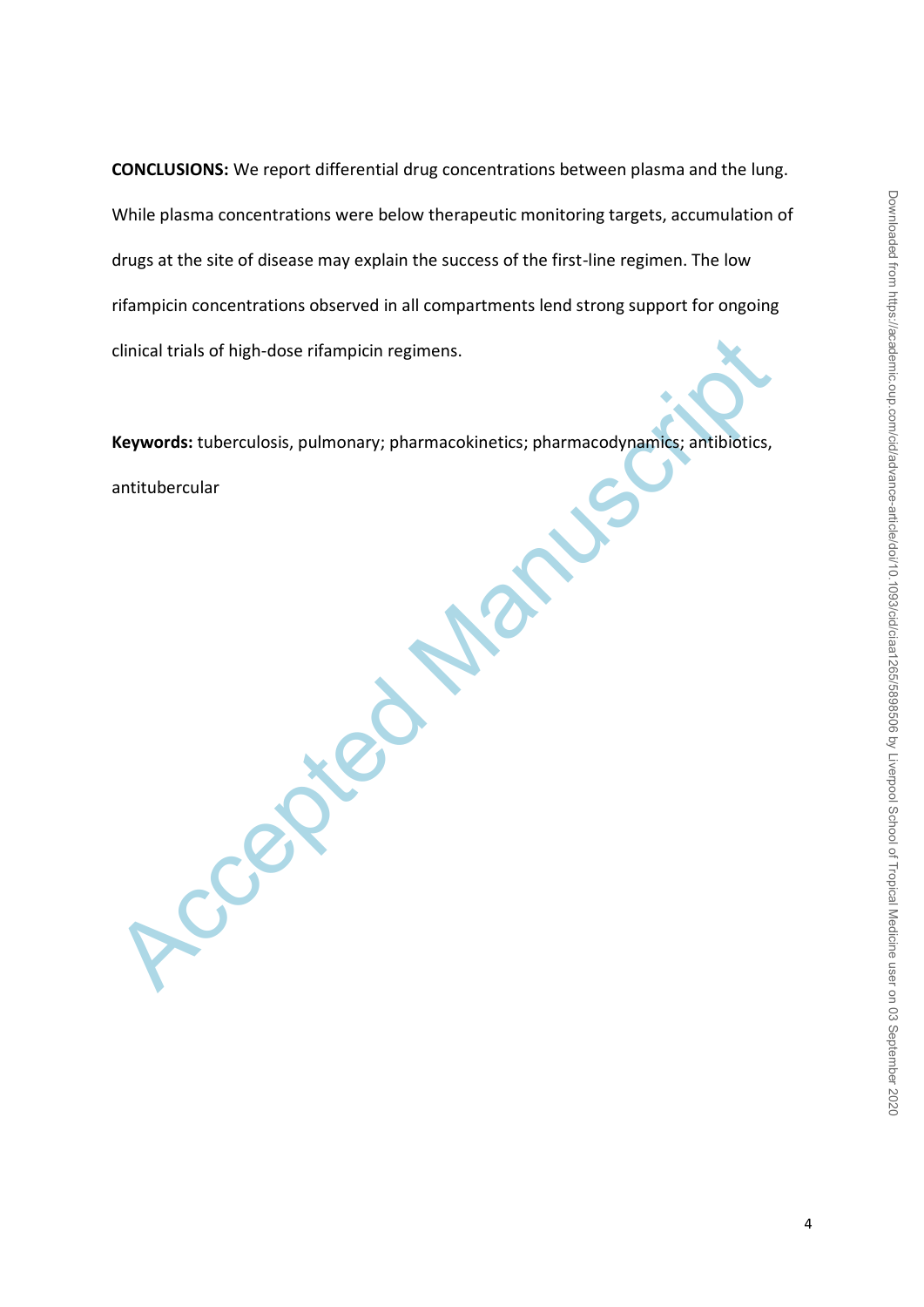**CONCLUSIONS:** We report differential drug concentrations between plasma and the lung. While plasma concentrations were below therapeutic monitoring targets, accumulation of drugs at the site of disease may explain the success of the first-line regimen. The low rifampicin concentrations observed in all compartments lend strong support for ongoing clinical trials of high-dose rifampicin regimens.

**Keywords:** tuberculosis, pulmonary; pharmacokinetics; pharmacodynamics; antibiotics, antitubercular

Accepted Manuscript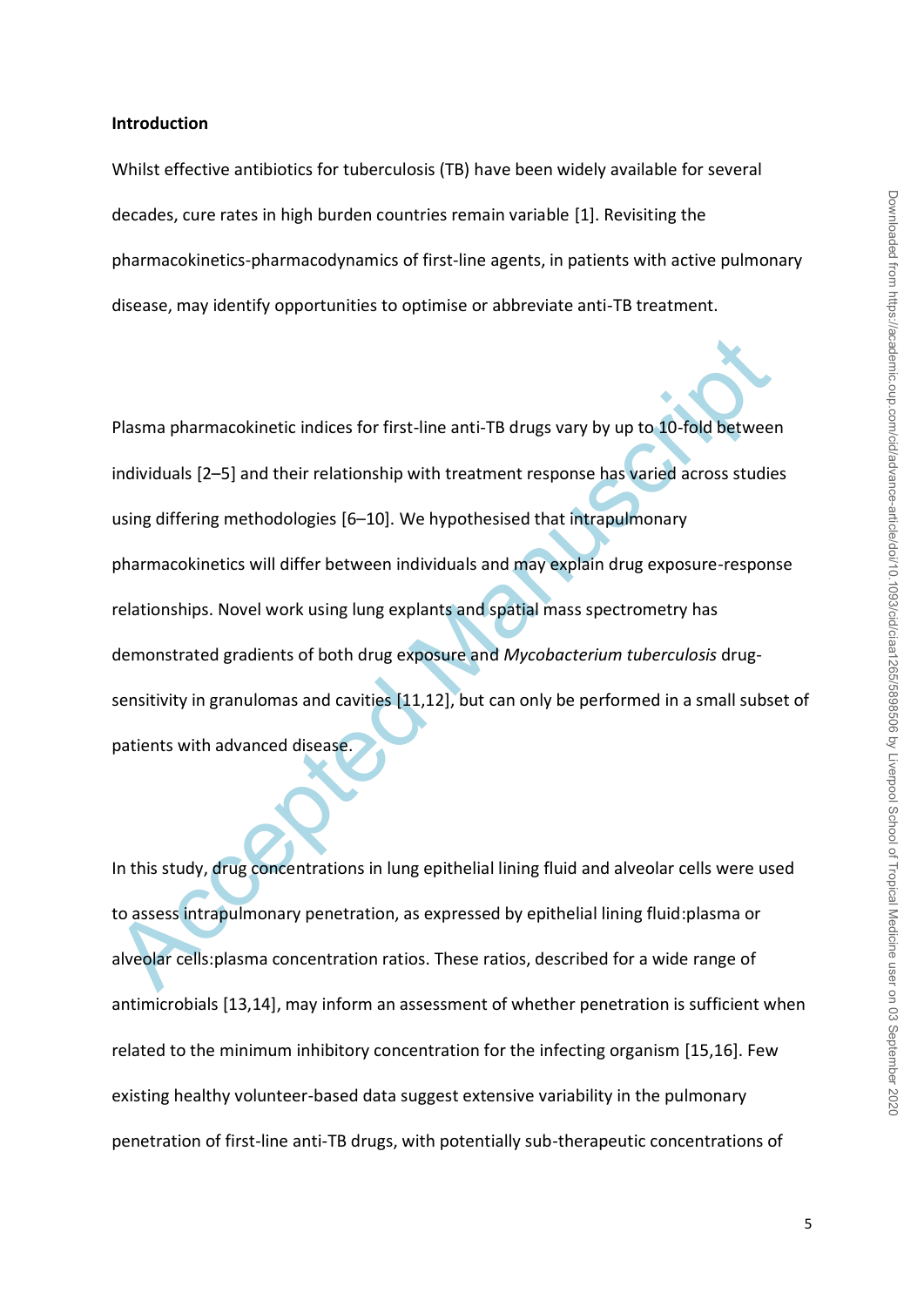#### **Introduction**

Whilst effective antibiotics for tuberculosis (TB) have been widely available for several decades, cure rates in high burden countries remain variable [1]. Revisiting the pharmacokinetics-pharmacodynamics of first-line agents, in patients with active pulmonary disease, may identify opportunities to optimise or abbreviate anti-TB treatment.

Plasma pharmacokinetic indices for first-line anti-TB drugs vary by up to 10-fold between<br>individuals [2–5] and their relationship with treatment response has varied across studie<br>using differing methodologies [6–10]. We h Plasma pharmacokinetic indices for first-line anti-TB drugs vary by up to 10-fold between individuals [2–5] and their relationship with treatment response has varied across studies using differing methodologies [6–10]. We hypothesised that intrapulmonary pharmacokinetics will differ between individuals and may explain drug exposure-response relationships. Novel work using lung explants and spatial mass spectrometry has demonstrated gradients of both drug exposure and *Mycobacterium tuberculosis* drugsensitivity in granulomas and cavities [11,12], but can only be performed in a small subset of patients with advanced disease.

In this study, drug concentrations in lung epithelial lining fluid and alveolar cells were used to assess intrapulmonary penetration, as expressed by epithelial lining fluid:plasma or alveolar cells:plasma concentration ratios. These ratios, described for a wide range of antimicrobials [13,14], may inform an assessment of whether penetration is sufficient when related to the minimum inhibitory concentration for the infecting organism [15,16]. Few existing healthy volunteer-based data suggest extensive variability in the pulmonary penetration of first-line anti-TB drugs, with potentially sub-therapeutic concentrations of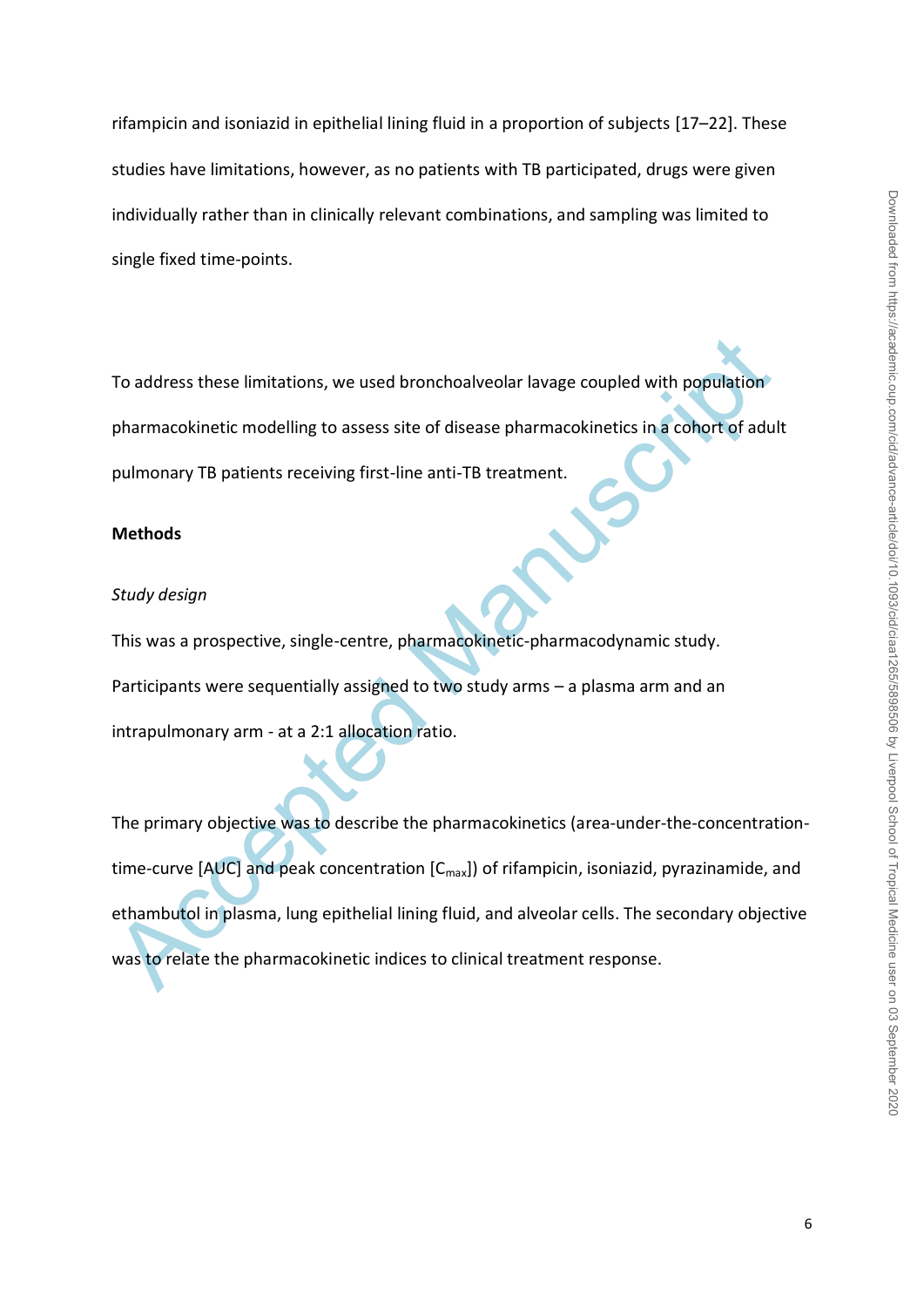rifampicin and isoniazid in epithelial lining fluid in a proportion of subjects [17–22]. These studies have limitations, however, as no patients with TB participated, drugs were given individually rather than in clinically relevant combinations, and sampling was limited to single fixed time-points.

To address these limitations, we used bronchoalveolar lavage coupled with population pharmacokinetic modelling to assess site of disease pharmacokinetics in a cohort of adult pulmonary TB patients receiving first-line anti-TB treatment.

#### **Methods**

#### *Study design*

This was a prospective, single-centre, pharmacokinetic-pharmacodynamic study. Participants were sequentially assigned to two study arms – a plasma arm and an intrapulmonary arm - at a 2:1 allocation ratio.

To address these limitations, we used bronchoalveolar lavage coupled with population<br>pharmacokinetic modelling to assess site of disease pharmacokinetics in a cohort of adul<br>pulmonary TB patients receiving first-line anti The primary objective was to describe the pharmacokinetics (area-under-the-concentrationtime-curve [AUC] and peak concentration  $[C_{max}]$ ) of rifampicin, isoniazid, pyrazinamide, and ethambutol in plasma, lung epithelial lining fluid, and alveolar cells. The secondary objective was to relate the pharmacokinetic indices to clinical treatment response.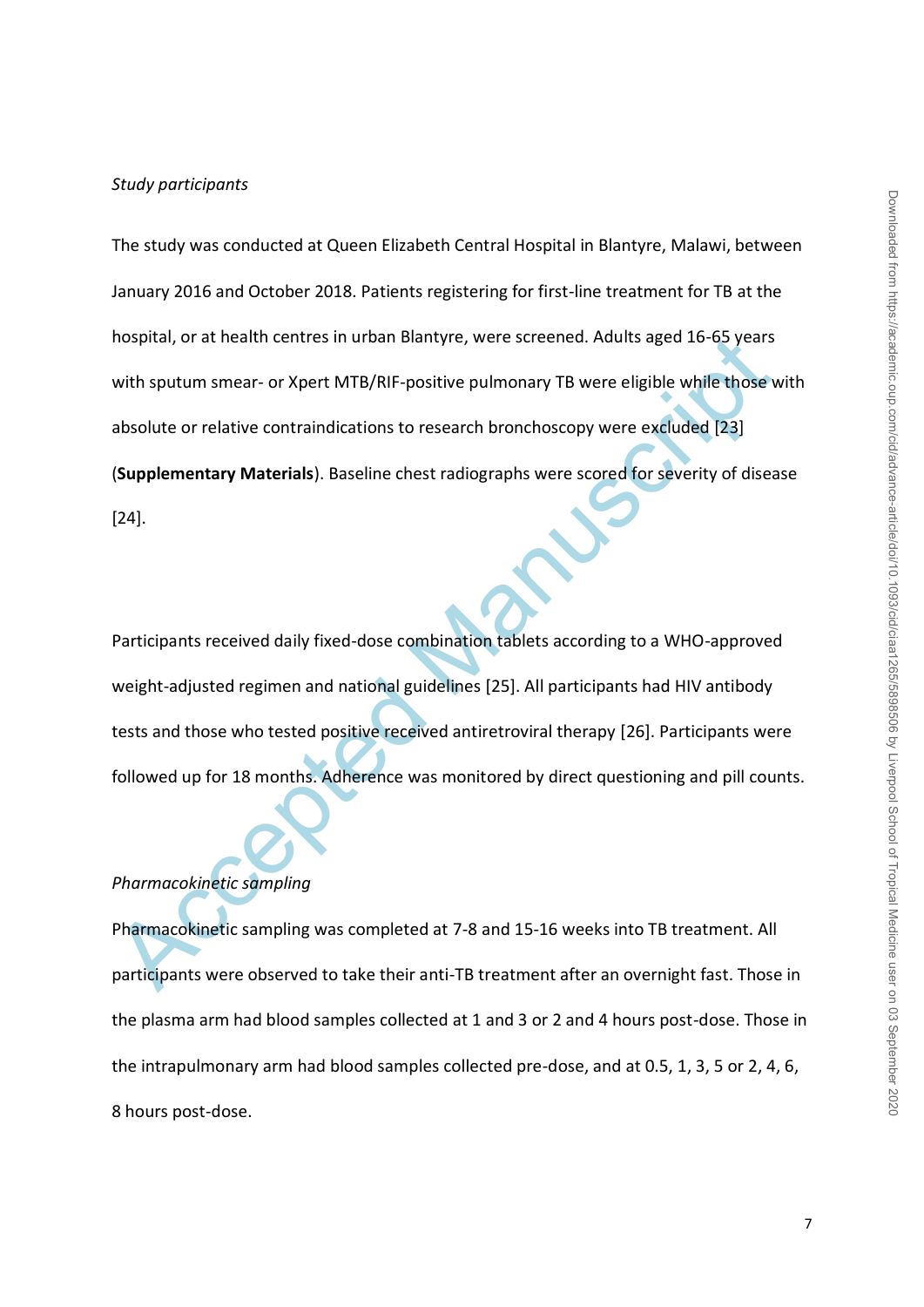nospital, or at health centres in urban Blantyre, were screened. Adults aged 16-65 years<br>with sputum smear- or Xpert MTB/RIF-positive pulmonary TB were eligible while those v<br>absolute or relative contraindications to resea The study was conducted at Queen Elizabeth Central Hospital in Blantyre, Malawi, between January 2016 and October 2018. Patients registering for first-line treatment for TB at the hospital, or at health centres in urban Blantyre, were screened. Adults aged 16-65 years with sputum smear- or Xpert MTB/RIF-positive pulmonary TB were eligible while those with absolute or relative contraindications to research bronchoscopy were excluded [23] (**Supplementary Materials**). Baseline chest radiographs were scored for severity of disease [24].

Participants received daily fixed-dose combination tablets according to a WHO-approved weight-adjusted regimen and national guidelines [25]. All participants had HIV antibody tests and those who tested positive received antiretroviral therapy [26]. Participants were followed up for 18 months. Adherence was monitored by direct questioning and pill counts.

# *Pharmacokinetic sampling*

Pharmacokinetic sampling was completed at 7-8 and 15-16 weeks into TB treatment. All participants were observed to take their anti-TB treatment after an overnight fast. Those in the plasma arm had blood samples collected at 1 and 3 or 2 and 4 hours post-dose. Those in the intrapulmonary arm had blood samples collected pre-dose, and at 0.5, 1, 3, 5 or 2, 4, 6, 8 hours post-dose.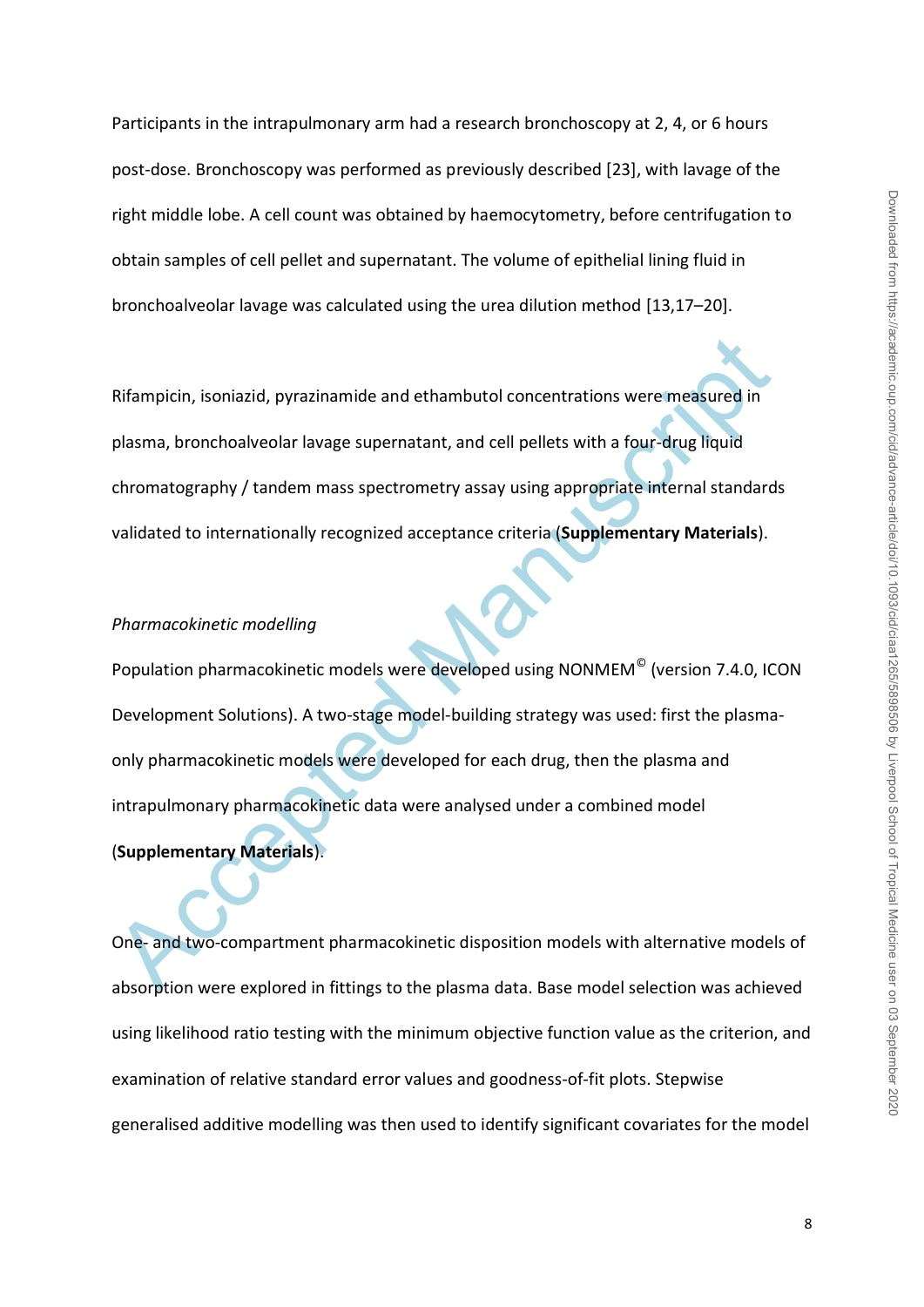Participants in the intrapulmonary arm had a research bronchoscopy at 2, 4, or 6 hours post-dose. Bronchoscopy was performed as previously described [23], with lavage of the right middle lobe. A cell count was obtained by haemocytometry, before centrifugation to obtain samples of cell pellet and supernatant. The volume of epithelial lining fluid in bronchoalveolar lavage was calculated using the urea dilution method [13,17–20].

Rifampicin, isoniazid, pyrazinamide and ethambutol concentrations were measured in plasma, bronchoalveolar lavage supernatant, and cell pellets with a four-drug liquid chromatography / tandem mass spectrometry assay using appropriate internal standards validated to internationally recognized acceptance criteria (**Supplementary Materials**).

#### *Pharmacokinetic modelling*

Rifampicin, isoniazid, pyrazinamide and ethambutol concentrations were measured in<br>plasma, bronchoalveolar lavage supernatant, and cell pellets with a four-drug liquid<br>chromatography / tandem mass spectrometry assay using Population pharmacokinetic models were developed using NONMEM<sup>©</sup> (version 7.4.0, ICON Development Solutions). A two-stage model-building strategy was used: first the plasmaonly pharmacokinetic models were developed for each drug, then the plasma and intrapulmonary pharmacokinetic data were analysed under a combined model (**Supplementary Materials**).

One- and two-compartment pharmacokinetic disposition models with alternative models of absorption were explored in fittings to the plasma data. Base model selection was achieved using likelihood ratio testing with the minimum objective function value as the criterion, and examination of relative standard error values and goodness-of-fit plots. Stepwise generalised additive modelling was then used to identify significant covariates for the model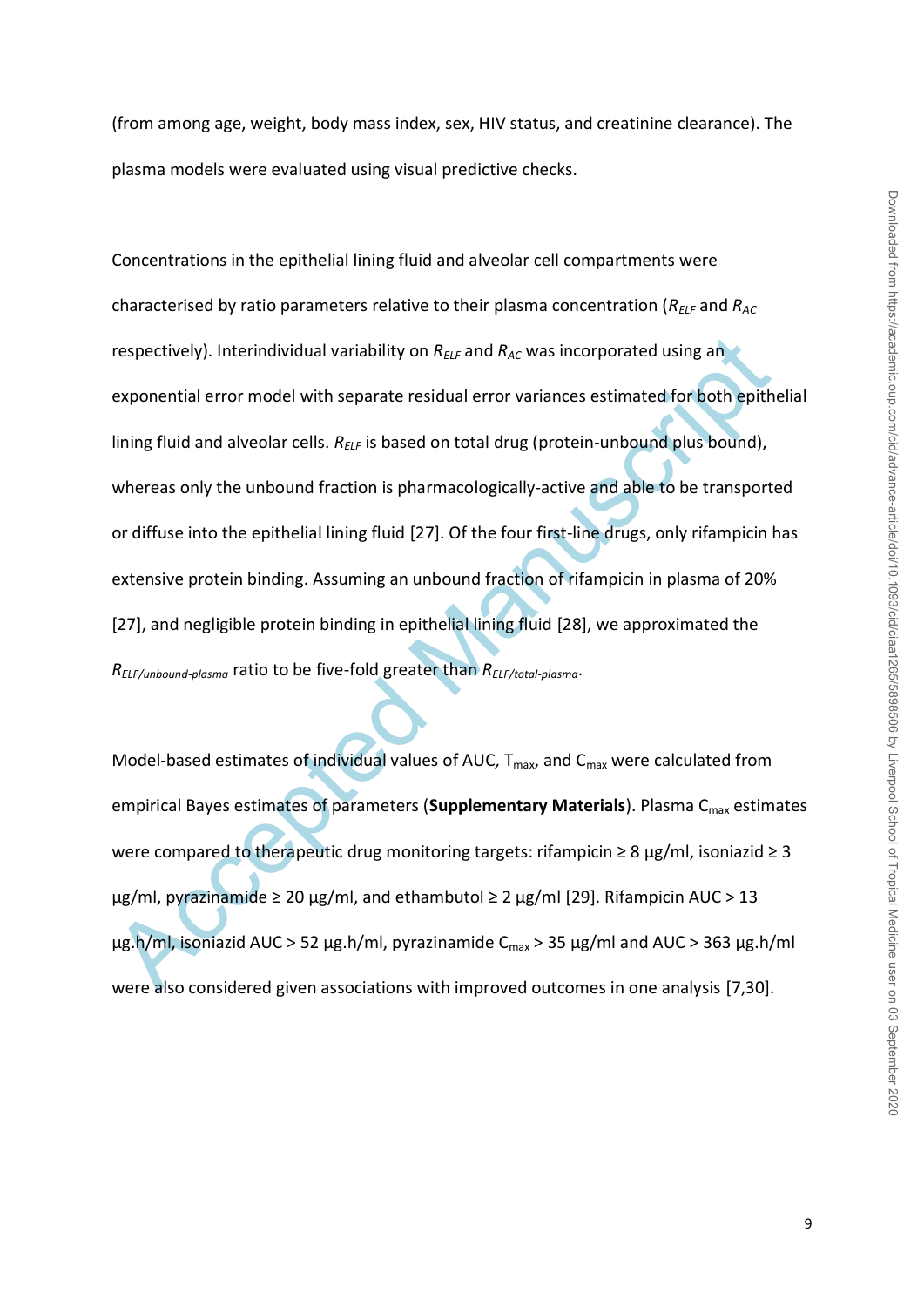(from among age, weight, body mass index, sex, HIV status, and creatinine clearance). The plasma models were evaluated using visual predictive checks.

respectively). Interindividual variability on  $R_{\text{Ext}}$  and  $R_{\text{AC}}$  was incorporated using an exponential error model with separate residual error variances estimated for both epitheling fluid and alveolar cells.  $R_{\text{$ Concentrations in the epithelial lining fluid and alveolar cell compartments were characterised by ratio parameters relative to their plasma concentration (*RELF* and *RAC* respectively). Interindividual variability on *RELF* and *RAC* was incorporated using an exponential error model with separate residual error variances estimated for both epithelial lining fluid and alveolar cells. R<sub>ELF</sub> is based on total drug (protein-unbound plus bound), whereas only the unbound fraction is pharmacologically-active and able to be transported or diffuse into the epithelial lining fluid [27]. Of the four first-line drugs, only rifampicin has extensive protein binding. Assuming an unbound fraction of rifampicin in plasma of 20% [27], and negligible protein binding in epithelial lining fluid [28], we approximated the *RELF/unbound-plasma* ratio to be five-fold greater than *RELF/total-plasma*.

Model-based estimates of individual values of AUC, T<sub>max</sub>, and C<sub>max</sub> were calculated from empirical Bayes estimates of parameters (Supplementary Materials). Plasma C<sub>max</sub> estimates were compared to therapeutic drug monitoring targets: rifampicin  $\geq 8$  µg/ml, isoniazid  $\geq 3$ μg/ml, pyrazinamide  $\geq 20$  μg/ml, and ethambutol  $\geq 2$  μg/ml [29]. Rifampicin AUC  $> 13$ μg.h/ml, isoniazid AUC > 52 μg.h/ml, pyrazinamide  $C_{\text{max}}$  > 35 μg/ml and AUC > 363 μg.h/ml were also considered given associations with improved outcomes in one analysis [7,30].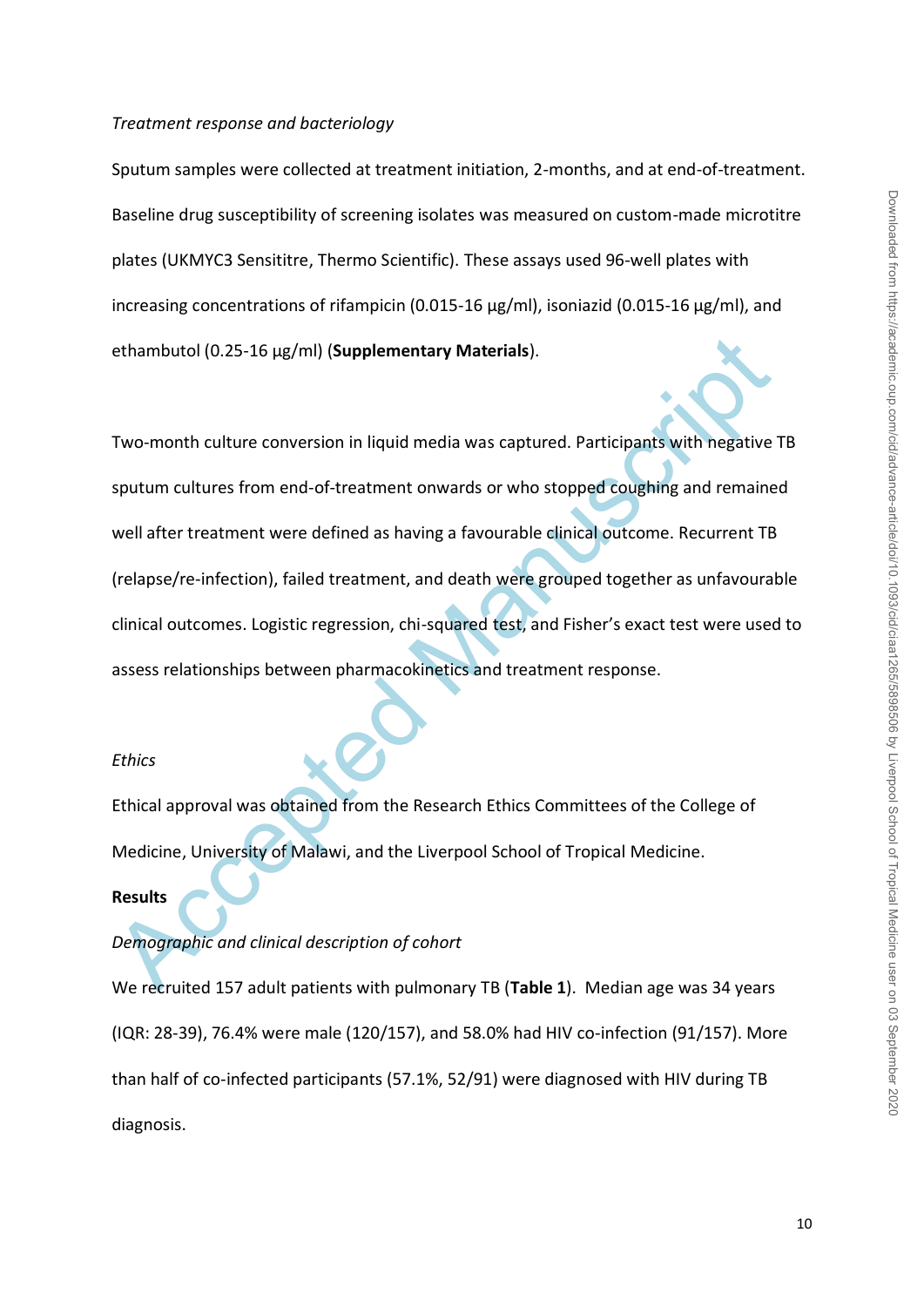#### *Treatment response and bacteriology*

Sputum samples were collected at treatment initiation, 2-months, and at end-of-treatment. Baseline drug susceptibility of screening isolates was measured on custom-made microtitre plates (UKMYC3 Sensititre, Thermo Scientific). These assays used 96-well plates with increasing concentrations of rifampicin (0.015-16 µg/ml), isoniazid (0.015-16 µg/ml), and ethambutol (0.25-16 µg/ml) (**Supplementary Materials**).

ethambutol (0.25-16 µg/ml) (Supplementary Materials).<br>
Two-month culture conversion in liquid media was captured. Participants with negative<br>
sputum cultures from end-of-treatment onwards or who stopped coughing and remain Two-month culture conversion in liquid media was captured. Participants with negative TB sputum cultures from end-of-treatment onwards or who stopped coughing and remained well after treatment were defined as having a favourable clinical outcome. Recurrent TB (relapse/re-infection), failed treatment, and death were grouped together as unfavourable clinical outcomes. Logistic regression, chi-squared test, and Fisher's exact test were used to assess relationships between pharmacokinetics and treatment response.

#### *Ethics*

Ethical approval was obtained from the Research Ethics Committees of the College of Medicine, University of Malawi, and the Liverpool School of Tropical Medicine.

#### **Results**

#### *Demographic and clinical description of cohort*

We recruited 157 adult patients with pulmonary TB (**Table 1**). Median age was 34 years (IQR: 28-39), 76.4% were male (120/157), and 58.0% had HIV co-infection (91/157). More than half of co-infected participants (57.1%, 52/91) were diagnosed with HIV during TB diagnosis.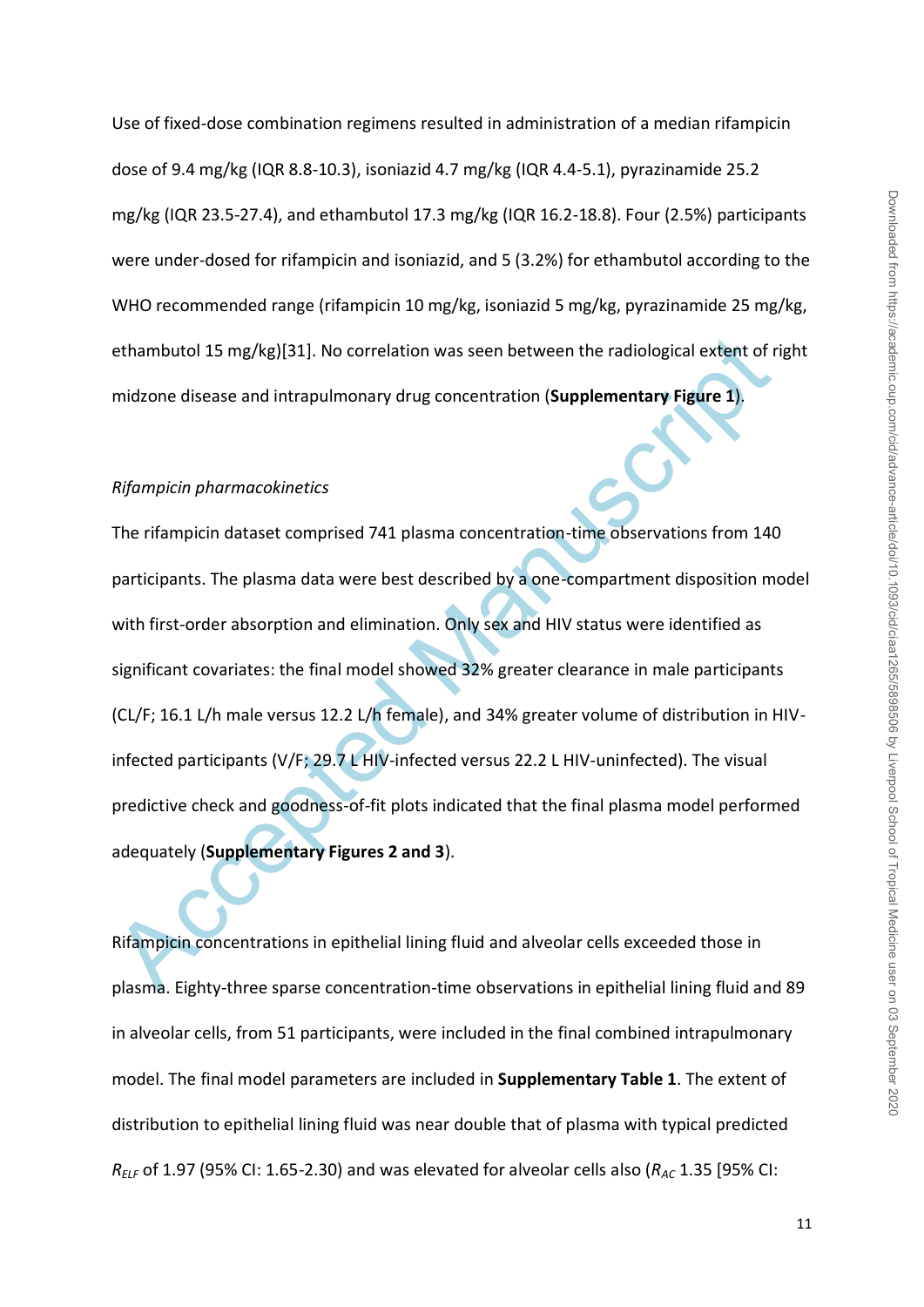Use of fixed-dose combination regimens resulted in administration of a median rifampicin dose of 9.4 mg/kg (IQR 8.8-10.3), isoniazid 4.7 mg/kg (IQR 4.4-5.1), pyrazinamide 25.2 mg/kg (IQR 23.5-27.4), and ethambutol 17.3 mg/kg (IQR 16.2-18.8). Four (2.5%) participants were under-dosed for rifampicin and isoniazid, and 5 (3.2%) for ethambutol according to the WHO recommended range (rifampicin 10 mg/kg, isoniazid 5 mg/kg, pyrazinamide 25 mg/kg, ethambutol 15 mg/kg)[31]. No correlation was seen between the radiological extent of right midzone disease and intrapulmonary drug concentration (**Supplementary Figure 1**).

#### *Rifampicin pharmacokinetics*

ethambutol 15 mg/kg)[31]. No correlation was seen between the radiological extent of midzone disease and intrapulmonary drug concentration (Supplementary Figure 1).<br> *Rifompicin phormocokinetics*<br>
The rifampicin dataset co The rifampicin dataset comprised 741 plasma concentration-time observations from 140 participants. The plasma data were best described by a one-compartment disposition model with first-order absorption and elimination. Only sex and HIV status were identified as significant covariates: the final model showed 32% greater clearance in male participants (CL/F; 16.1 L/h male versus 12.2 L/h female), and 34% greater volume of distribution in HIVinfected participants (V/F; 29.7 L HIV-infected versus 22.2 L HIV-uninfected). The visual predictive check and goodness-of-fit plots indicated that the final plasma model performed adequately (**Supplementary Figures 2 and 3**).

Rifampicin concentrations in epithelial lining fluid and alveolar cells exceeded those in plasma. Eighty-three sparse concentration-time observations in epithelial lining fluid and 89 in alveolar cells, from 51 participants, were included in the final combined intrapulmonary model. The final model parameters are included in **Supplementary Table 1**. The extent of distribution to epithelial lining fluid was near double that of plasma with typical predicted  $R_{ELF}$  of 1.97 (95% CI: 1.65-2.30) and was elevated for alveolar cells also ( $R_{AC}$  1.35 [95% CI: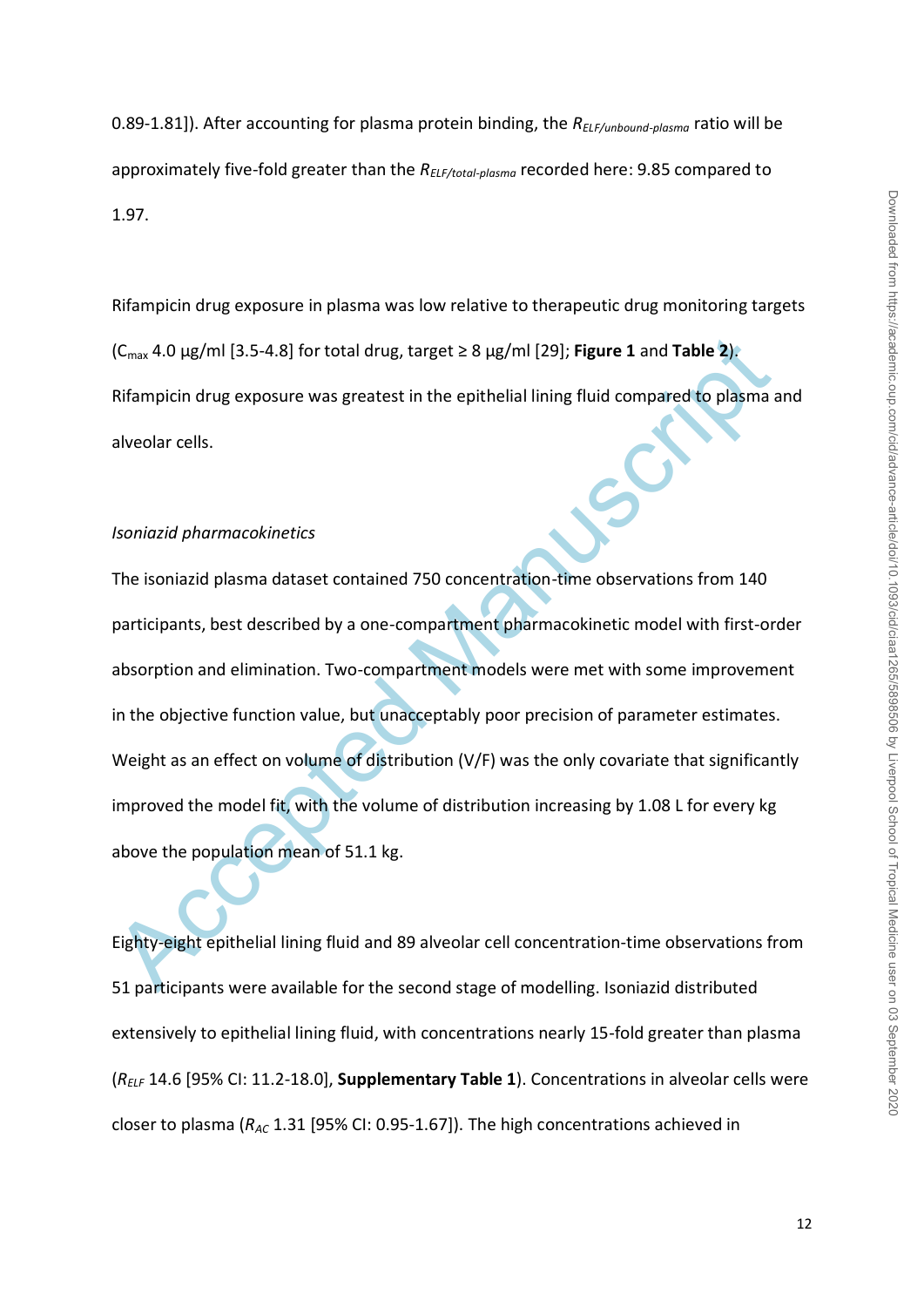0.89-1.81]). After accounting for plasma protein binding, the *RELF/unbound-plasma* ratio will be approximately five-fold greater than the *RELF/total-plasma* recorded here: 9.85 compared to 1.97.

Rifampicin drug exposure in plasma was low relative to therapeutic drug monitoring targets (Cmax 4.0 μg/ml [3.5-4.8] for total drug, target ≥ 8 μg/ml [29]; **Figure 1** and **Table 2**). Rifampicin drug exposure was greatest in the epithelial lining fluid compared to plasma and alveolar cells.

#### *Isoniazid pharmacokinetics*

( $C_{\text{max}}$  4.0 µg/ml [3.5-4.8] for total drug, target ≥ 8 µg/ml [29]; **Figure 1** and **Table 2):**<br>Rifampicin drug exposure was greatest in the epithelial lining fluid compared to plasma a<br>alveolar cells.<br>Jsoniozid pharmaco The isoniazid plasma dataset contained 750 concentration-time observations from 140 participants, best described by a one-compartment pharmacokinetic model with first-order absorption and elimination. Two-compartment models were met with some improvement in the objective function value, but unacceptably poor precision of parameter estimates. Weight as an effect on volume of distribution (V/F) was the only covariate that significantly improved the model fit, with the volume of distribution increasing by 1.08 L for every kg above the population mean of 51.1 kg.

Eighty-eight epithelial lining fluid and 89 alveolar cell concentration-time observations from 51 participants were available for the second stage of modelling. Isoniazid distributed extensively to epithelial lining fluid, with concentrations nearly 15-fold greater than plasma (*RELF* 14.6 [95% CI: 11.2-18.0], **Supplementary Table 1**). Concentrations in alveolar cells were closer to plasma (*RAC* 1.31 [95% CI: 0.95-1.67]). The high concentrations achieved in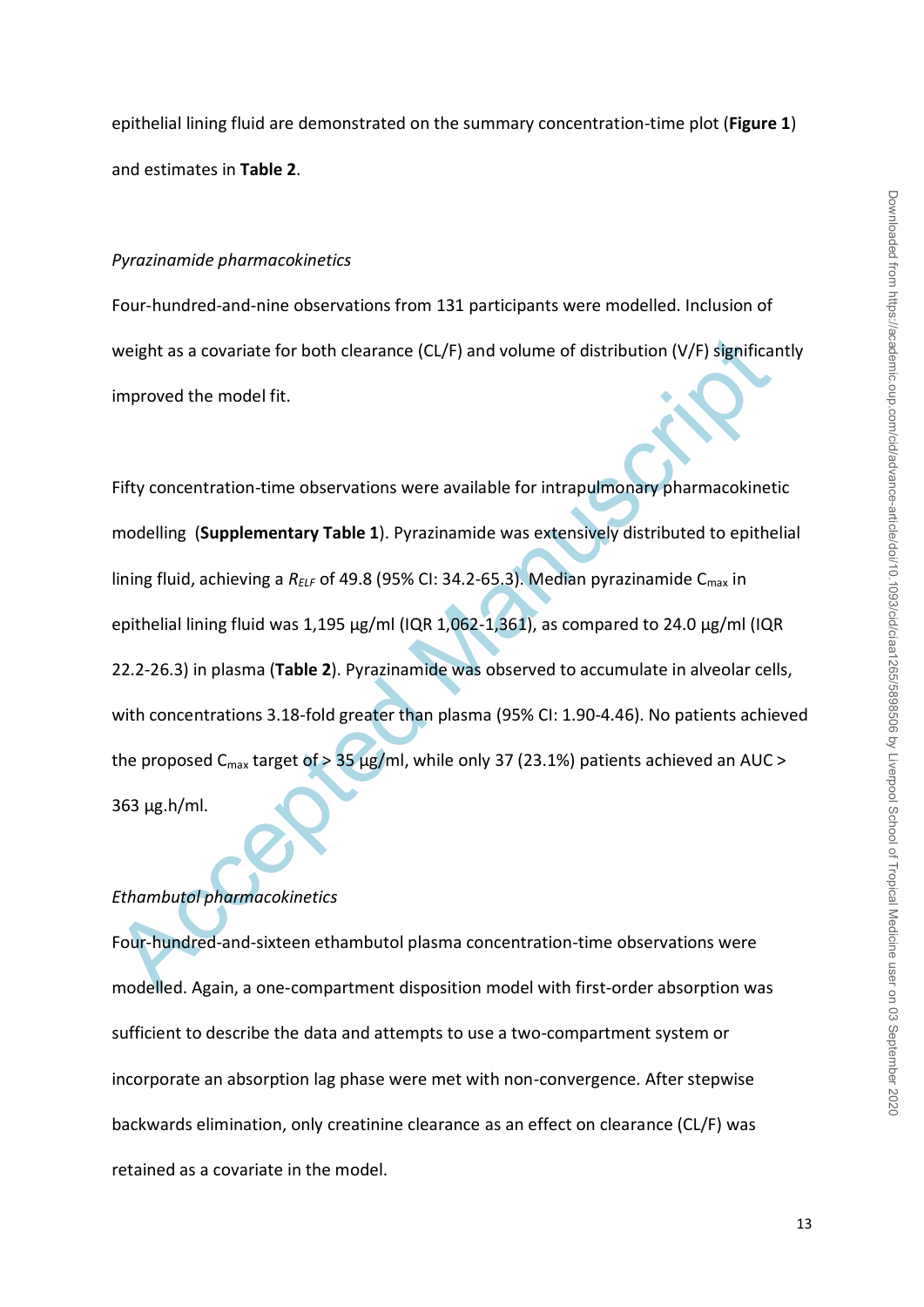epithelial lining fluid are demonstrated on the summary concentration-time plot (**Figure 1**) and estimates in **Table 2**.

#### *Pyrazinamide pharmacokinetics*

Four-hundred-and-nine observations from 131 participants were modelled. Inclusion of weight as a covariate for both clearance (CL/F) and volume of distribution (V/F) significantly improved the model fit.

weight as a covariate for both clearance (CL/F) and volume of distribution (V/F) significating<br>timproved the model fit.<br>
Fifty concentration-time observations were available for intrapulmonary pharmacokinet<br>
modelling (Sup Fifty concentration-time observations were available for intrapulmonary pharmacokinetic modelling (**Supplementary Table 1**). Pyrazinamide was extensively distributed to epithelial lining fluid, achieving a *R<sub>ELF</sub>* of 49.8 (95% CI: 34.2-65.3). Median pyrazinamide C<sub>max</sub> in epithelial lining fluid was 1,195 μg/ml (IQR 1,062-1,361), as compared to 24.0 μg/ml (IQR 22.2-26.3) in plasma (**Table 2**). Pyrazinamide was observed to accumulate in alveolar cells, with concentrations 3.18-fold greater than plasma (95% CI: 1.90-4.46). No patients achieved the proposed C<sub>max</sub> target of > 35  $\mu$ g/ml, while only 37 (23.1%) patients achieved an AUC > 363 μg.h/ml.

#### *Ethambutol pharmacokinetics*

Four-hundred-and-sixteen ethambutol plasma concentration-time observations were modelled. Again, a one-compartment disposition model with first-order absorption was sufficient to describe the data and attempts to use a two-compartment system or incorporate an absorption lag phase were met with non-convergence. After stepwise backwards elimination, only creatinine clearance as an effect on clearance (CL/F) was retained as a covariate in the model.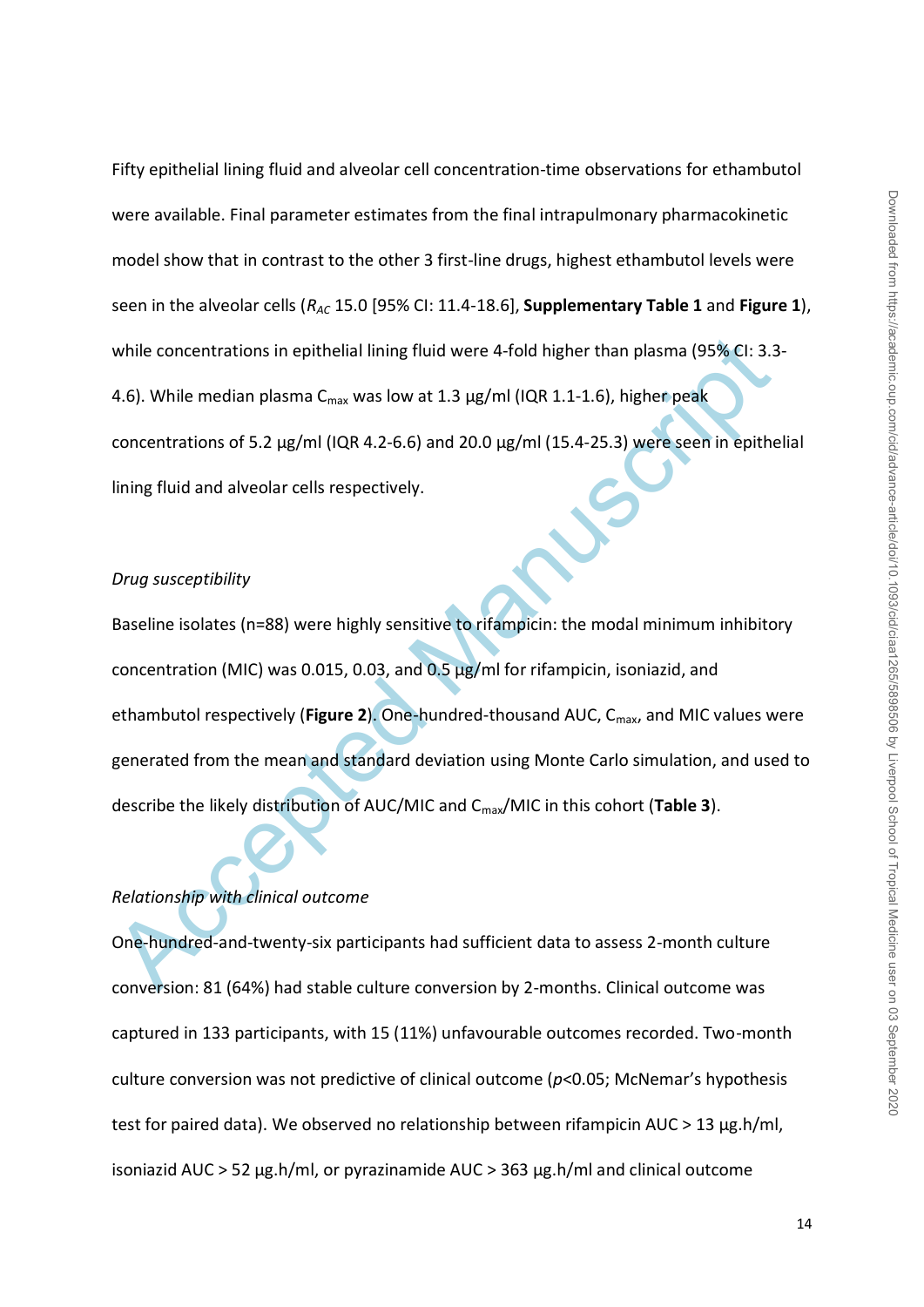Fifty epithelial lining fluid and alveolar cell concentration-time observations for ethambutol were available. Final parameter estimates from the final intrapulmonary pharmacokinetic model show that in contrast to the other 3 first-line drugs, highest ethambutol levels were seen in the alveolar cells (*RAC* 15.0 [95% CI: 11.4-18.6], **Supplementary Table 1** and **Figure 1**), while concentrations in epithelial lining fluid were 4-fold higher than plasma (95% CI: 3.3- 4.6). While median plasma  $C_{\text{max}}$  was low at 1.3  $\mu$ g/ml (IQR 1.1-1.6), higher peak concentrations of 5.2 μg/ml (IQR 4.2-6.6) and 20.0 μg/ml (15.4-25.3) were seen in epithelial lining fluid and alveolar cells respectively.

#### *Drug susceptibility*

while concentrations in epithelial lining fluid were 4-fold higher than plasma (95% CI: 3.3<br>
4.6). While median plasma C<sub>max</sub> was low at 1.3 µg/ml (IQR 1.1-1.6), higher peak<br>
concentrations of 5.2 µg/ml (IQR 4.2-6.6) and Baseline isolates (n=88) were highly sensitive to rifampicin: the modal minimum inhibitory concentration (MIC) was 0.015, 0.03, and 0.5 μg/ml for rifampicin, isoniazid, and ethambutol respectively (Figure 2). One-hundred-thousand AUC, C<sub>max</sub>, and MIC values were generated from the mean and standard deviation using Monte Carlo simulation, and used to describe the likely distribution of AUC/MIC and Cmax/MIC in this cohort (**Table 3**).

# *Relationship with clinical outcome*

One-hundred-and-twenty-six participants had sufficient data to assess 2-month culture conversion: 81 (64%) had stable culture conversion by 2-months. Clinical outcome was captured in 133 participants, with 15 (11%) unfavourable outcomes recorded. Two-month culture conversion was not predictive of clinical outcome (*p*<0.05; McNemar's hypothesis test for paired data). We observed no relationship between rifampicin AUC > 13 μg.h/ml, isoniazid AUC > 52 μg.h/ml, or pyrazinamide AUC > 363 μg.h/ml and clinical outcome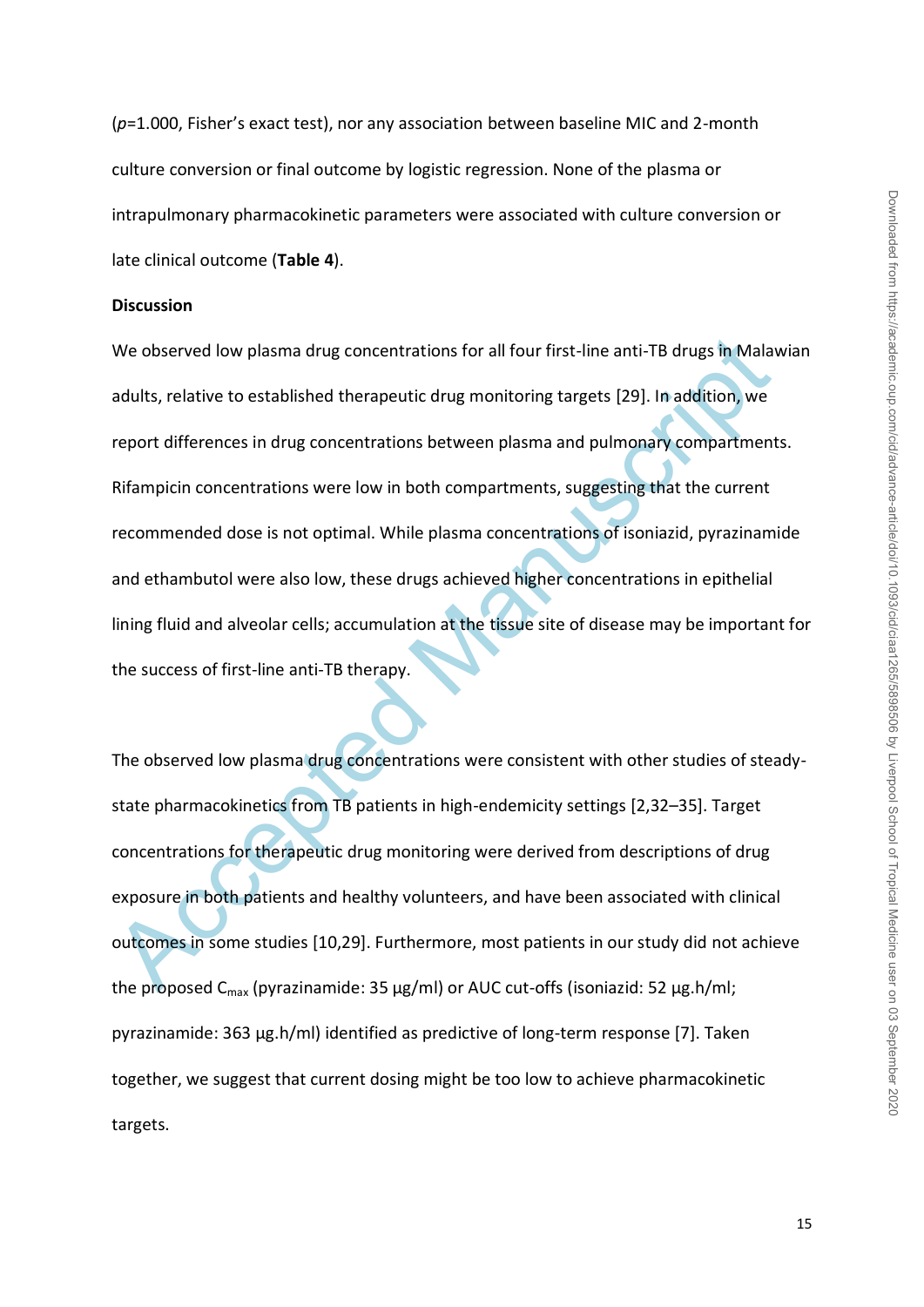(*p*=1.000, Fisher's exact test), nor any association between baseline MIC and 2-month culture conversion or final outcome by logistic regression. None of the plasma or intrapulmonary pharmacokinetic parameters were associated with culture conversion or late clinical outcome (**Table 4**).

#### **Discussion**

We observed low plasma drug concentrations for all four first-line anti-TB drugs in Mala<br>adults, relative to established therapeutic drug monitoring targets [29]. In addition, we<br>report differences in drug concentrations We observed low plasma drug concentrations for all four first-line anti-TB drugs in Malawian adults, relative to established therapeutic drug monitoring targets [29]. In addition, we report differences in drug concentrations between plasma and pulmonary compartments. Rifampicin concentrations were low in both compartments, suggesting that the current recommended dose is not optimal. While plasma concentrations of isoniazid, pyrazinamide and ethambutol were also low, these drugs achieved higher concentrations in epithelial lining fluid and alveolar cells; accumulation at the tissue site of disease may be important for the success of first-line anti-TB therapy.

The observed low plasma drug concentrations were consistent with other studies of steadystate pharmacokinetics from TB patients in high-endemicity settings [2,32–35]. Target concentrations for therapeutic drug monitoring were derived from descriptions of drug exposure in both patients and healthy volunteers, and have been associated with clinical outcomes in some studies [10,29]. Furthermore, most patients in our study did not achieve the proposed  $C_{max}$  (pyrazinamide: 35 μg/ml) or AUC cut-offs (isoniazid: 52 μg.h/ml; pyrazinamide: 363 μg.h/ml) identified as predictive of long-term response [7]. Taken together, we suggest that current dosing might be too low to achieve pharmacokinetic targets.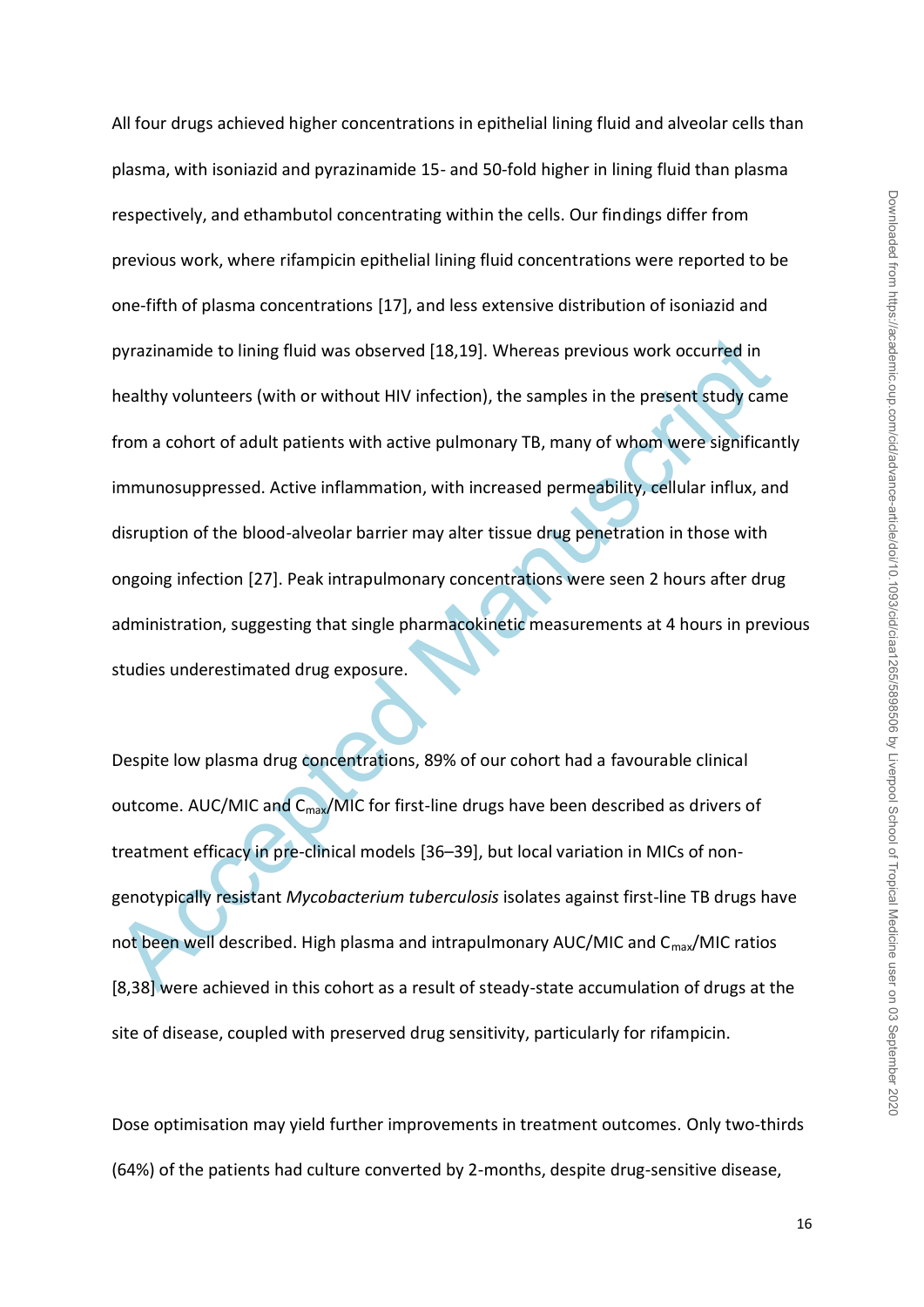pyrazinamide to lining fluid was observed [18,19]. Whereas previous work occurred in<br>healthy volunteers (with or without HIV infection), the samples in the present study cam<br>from a cohort of adult patients with active pulm All four drugs achieved higher concentrations in epithelial lining fluid and alveolar cells than plasma, with isoniazid and pyrazinamide 15- and 50-fold higher in lining fluid than plasma respectively, and ethambutol concentrating within the cells. Our findings differ from previous work, where rifampicin epithelial lining fluid concentrations were reported to be one-fifth of plasma concentrations [17], and less extensive distribution of isoniazid and pyrazinamide to lining fluid was observed [18,19]. Whereas previous work occurred in healthy volunteers (with or without HIV infection), the samples in the present study came from a cohort of adult patients with active pulmonary TB, many of whom were significantly immunosuppressed. Active inflammation, with increased permeability, cellular influx, and disruption of the blood-alveolar barrier may alter tissue drug penetration in those with ongoing infection [27]. Peak intrapulmonary concentrations were seen 2 hours after drug administration, suggesting that single pharmacokinetic measurements at 4 hours in previous studies underestimated drug exposure.

Despite low plasma drug concentrations, 89% of our cohort had a favourable clinical outcome. AUC/MIC and C<sub>max</sub>/MIC for first-line drugs have been described as drivers of treatment efficacy in pre-clinical models [36–39], but local variation in MICs of nongenotypically resistant *Mycobacterium tuberculosis* isolates against first-line TB drugs have not been well described. High plasma and intrapulmonary AUC/MIC and C<sub>max</sub>/MIC ratios [8,38] were achieved in this cohort as a result of steady-state accumulation of drugs at the site of disease, coupled with preserved drug sensitivity, particularly for rifampicin.

Dose optimisation may yield further improvements in treatment outcomes. Only two-thirds (64%) of the patients had culture converted by 2-months, despite drug-sensitive disease,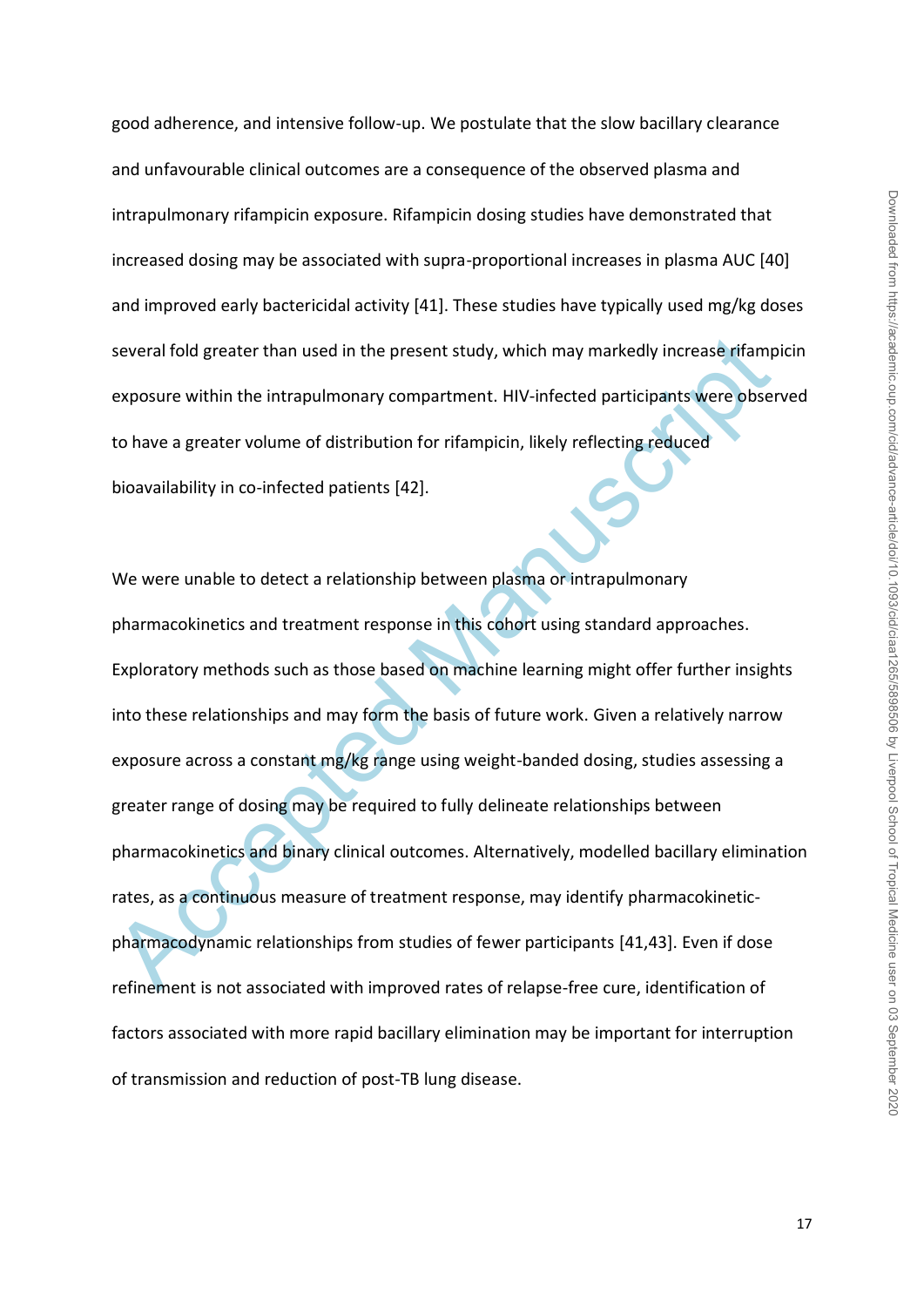good adherence, and intensive follow-up. We postulate that the slow bacillary clearance and unfavourable clinical outcomes are a consequence of the observed plasma and intrapulmonary rifampicin exposure. Rifampicin dosing studies have demonstrated that increased dosing may be associated with supra-proportional increases in plasma AUC [40] and improved early bactericidal activity [41]. These studies have typically used mg/kg doses several fold greater than used in the present study, which may markedly increase rifampicin exposure within the intrapulmonary compartment. HIV-infected participants were observed to have a greater volume of distribution for rifampicin, likely reflecting reduced bioavailability in co-infected patients [42].

several fold greater than used in the present study, which may markedly increase rifamp<br>exposure within the intrapulmonary compartment. HIV-infected participants were obser<br>to have a greater volume of distribution for rifa We were unable to detect a relationship between plasma or intrapulmonary pharmacokinetics and treatment response in this cohort using standard approaches. Exploratory methods such as those based on machine learning might offer further insights into these relationships and may form the basis of future work. Given a relatively narrow exposure across a constant mg/kg range using weight-banded dosing, studies assessing a greater range of dosing may be required to fully delineate relationships between pharmacokinetics and binary clinical outcomes. Alternatively, modelled bacillary elimination rates, as a continuous measure of treatment response, may identify pharmacokineticpharmacodynamic relationships from studies of fewer participants [41,43]. Even if dose refinement is not associated with improved rates of relapse-free cure, identification of factors associated with more rapid bacillary elimination may be important for interruption of transmission and reduction of post-TB lung disease.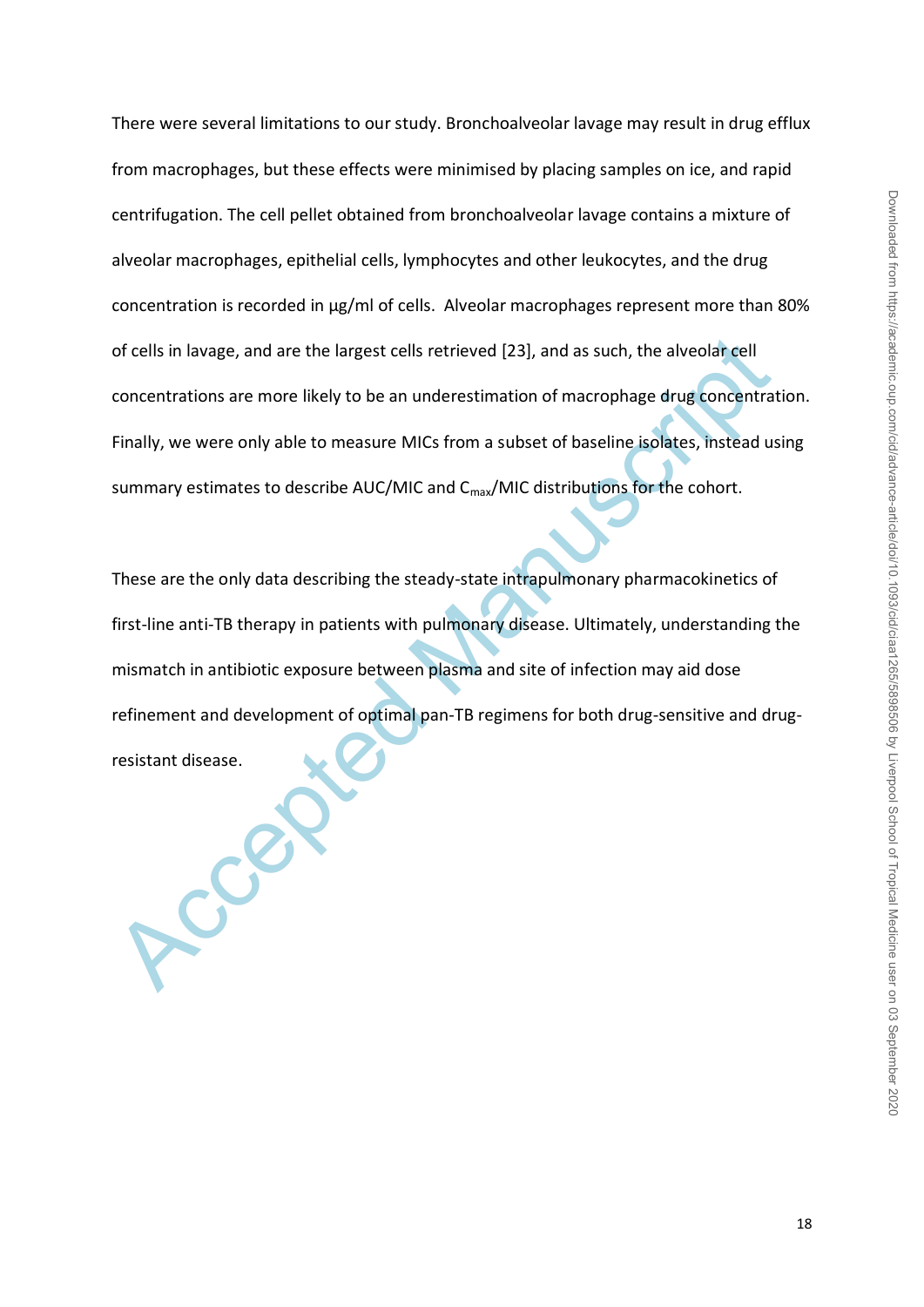There were several limitations to our study. Bronchoalveolar lavage may result in drug efflux from macrophages, but these effects were minimised by placing samples on ice, and rapid centrifugation. The cell pellet obtained from bronchoalveolar lavage contains a mixture of alveolar macrophages, epithelial cells, lymphocytes and other leukocytes, and the drug concentration is recorded in μg/ml of cells. Alveolar macrophages represent more than 80% of cells in lavage, and are the largest cells retrieved [23], and as such, the alveolar cell concentrations are more likely to be an underestimation of macrophage drug concentration. Finally, we were only able to measure MICs from a subset of baseline isolates, instead using summary estimates to describe AUC/MIC and C<sub>max</sub>/MIC distributions for the cohort.

of cells in lavage, and are the largest cells retrieved [23], and as such, the alveolar cell<br>concentrations are more likely to be an underestimation of macrophage drug concentrat<br>Finally, we were only able to measure MICs These are the only data describing the steady-state intrapulmonary pharmacokinetics of first-line anti-TB therapy in patients with pulmonary disease. Ultimately, understanding the mismatch in antibiotic exposure between plasma and site of infection may aid dose refinement and development of optimal pan-TB regimens for both drug-sensitive and drugresistant disease.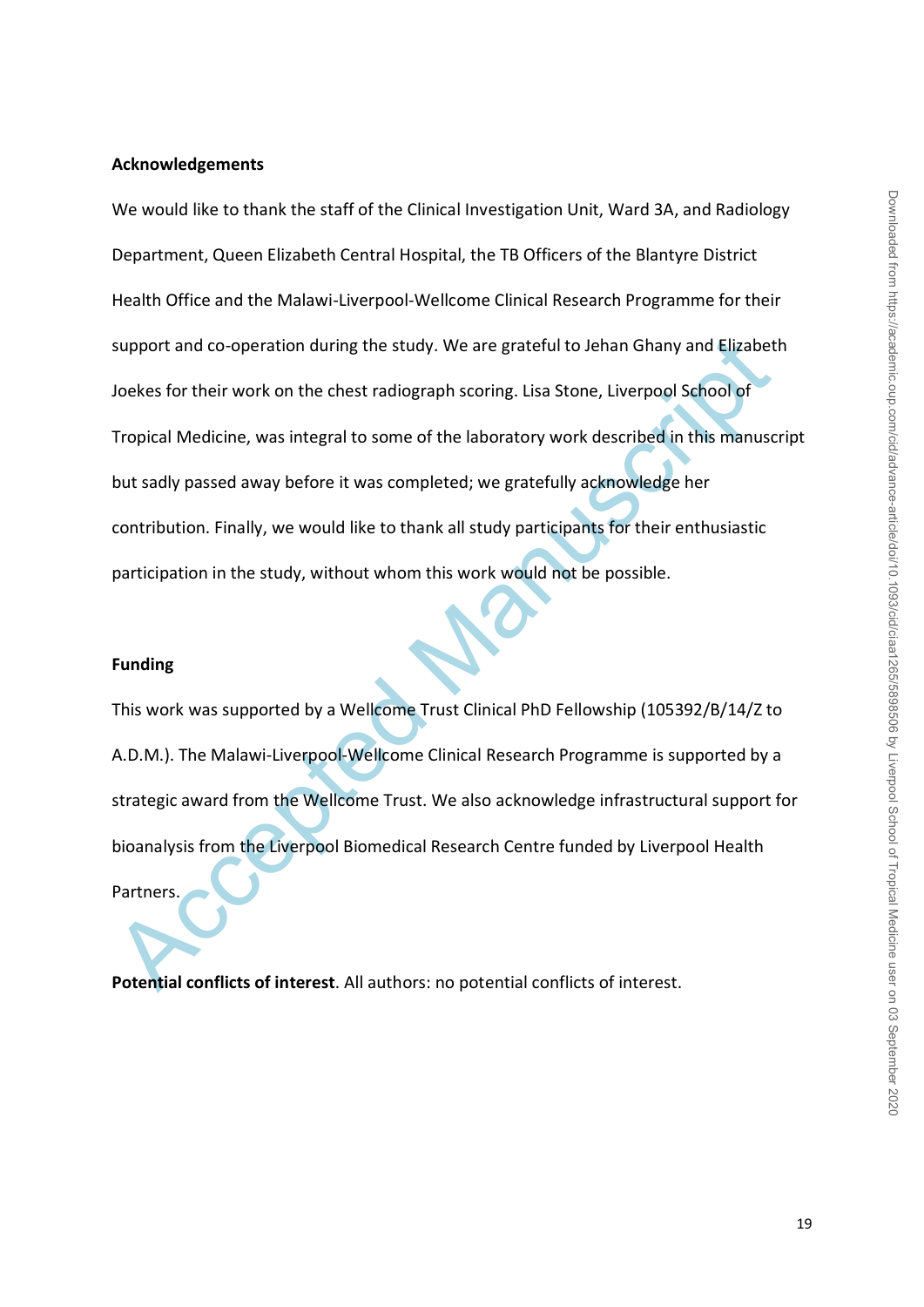## **Acknowledgements**

support and co-operation during the study. We are grateful to Jehan Ghany and Elizabet<br>Joekes for their work on the chest radiograph scoring. Lisa Stone, Liverpool School of<br>Tropical Medicine, was integral to some of the l We would like to thank the staff of the Clinical Investigation Unit, Ward 3A, and Radiology Department, Queen Elizabeth Central Hospital, the TB Officers of the Blantyre District Health Office and the Malawi-Liverpool-Wellcome Clinical Research Programme for their support and co-operation during the study. We are grateful to Jehan Ghany and Elizabeth Joekes for their work on the chest radiograph scoring. Lisa Stone, Liverpool School of Tropical Medicine, was integral to some of the laboratory work described in this manuscript but sadly passed away before it was completed; we gratefully acknowledge her contribution. Finally, we would like to thank all study participants for their enthusiastic participation in the study, without whom this work would not be possible.

#### **Funding**

This work was supported by a Wellcome Trust Clinical PhD Fellowship (105392/B/14/Z to A.D.M.). The Malawi-Liverpool-Wellcome Clinical Research Programme is supported by a strategic award from the Wellcome Trust. We also acknowledge infrastructural support for bioanalysis from the Liverpool Biomedical Research Centre funded by Liverpool Health Partners.

**Potential conflicts of interest**. All authors: no potential conflicts of interest.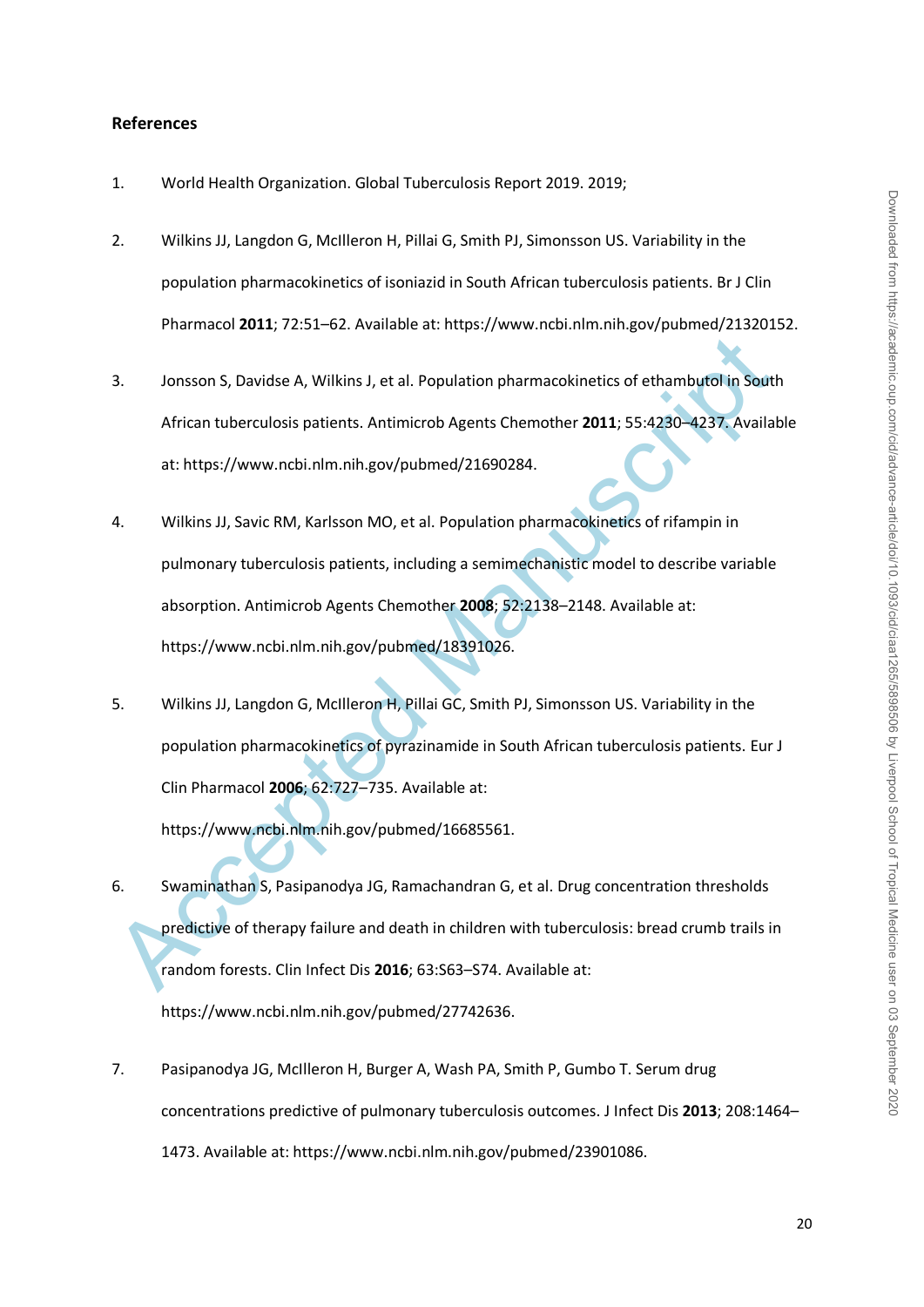#### **References**

- 1. World Health Organization. Global Tuberculosis Report 2019. 2019;
- 2. Wilkins JJ, Langdon G, McIlleron H, Pillai G, Smith PJ, Simonsson US. Variability in the population pharmacokinetics of isoniazid in South African tuberculosis patients. Br J Clin Pharmacol **2011**; 72:51–62. Available at: https://www.ncbi.nlm.nih.gov/pubmed/21320152.
- 3. Jonsson S, Davidse A, Wilkins J, et al. Population pharmacokinetics of ethambutol in South African tuberculosis patients. Antimicrob Agents Chemother **2011**; 55:4230–4237. Available at: https://www.ncbi.nlm.nih.gov/pubmed/21690284.
- 3. Jonsson S, Davidse A, Wilkins J, et al. Population pharmacokinetics of ethambutol in South<br>African tuberculosis patients. Antimicrob Agents Chemother 2011; 55:4230-4237. Availal<br>at: https://www.ncbi.nlm.nih.gov/pubmed/2 4. Wilkins JJ, Savic RM, Karlsson MO, et al. Population pharmacokinetics of rifampin in pulmonary tuberculosis patients, including a semimechanistic model to describe variable absorption. Antimicrob Agents Chemother **2008**; 52:2138–2148. Available at: https://www.ncbi.nlm.nih.gov/pubmed/18391026.
- 5. Wilkins JJ, Langdon G, McIlleron H, Pillai GC, Smith PJ, Simonsson US. Variability in the population pharmacokinetics of pyrazinamide in South African tuberculosis patients. Eur J Clin Pharmacol **2006**; 62:727–735. Available at:

https://www.ncbi.nlm.nih.gov/pubmed/16685561.

6. Swaminathan S, Pasipanodya JG, Ramachandran G, et al. Drug concentration thresholds predictive of therapy failure and death in children with tuberculosis: bread crumb trails in random forests. Clin Infect Dis **2016**; 63:S63–S74. Available at:

https://www.ncbi.nlm.nih.gov/pubmed/27742636.

7. Pasipanodya JG, McIlleron H, Burger A, Wash PA, Smith P, Gumbo T. Serum drug concentrations predictive of pulmonary tuberculosis outcomes. J Infect Dis **2013**; 208:1464– 1473. Available at: https://www.ncbi.nlm.nih.gov/pubmed/23901086.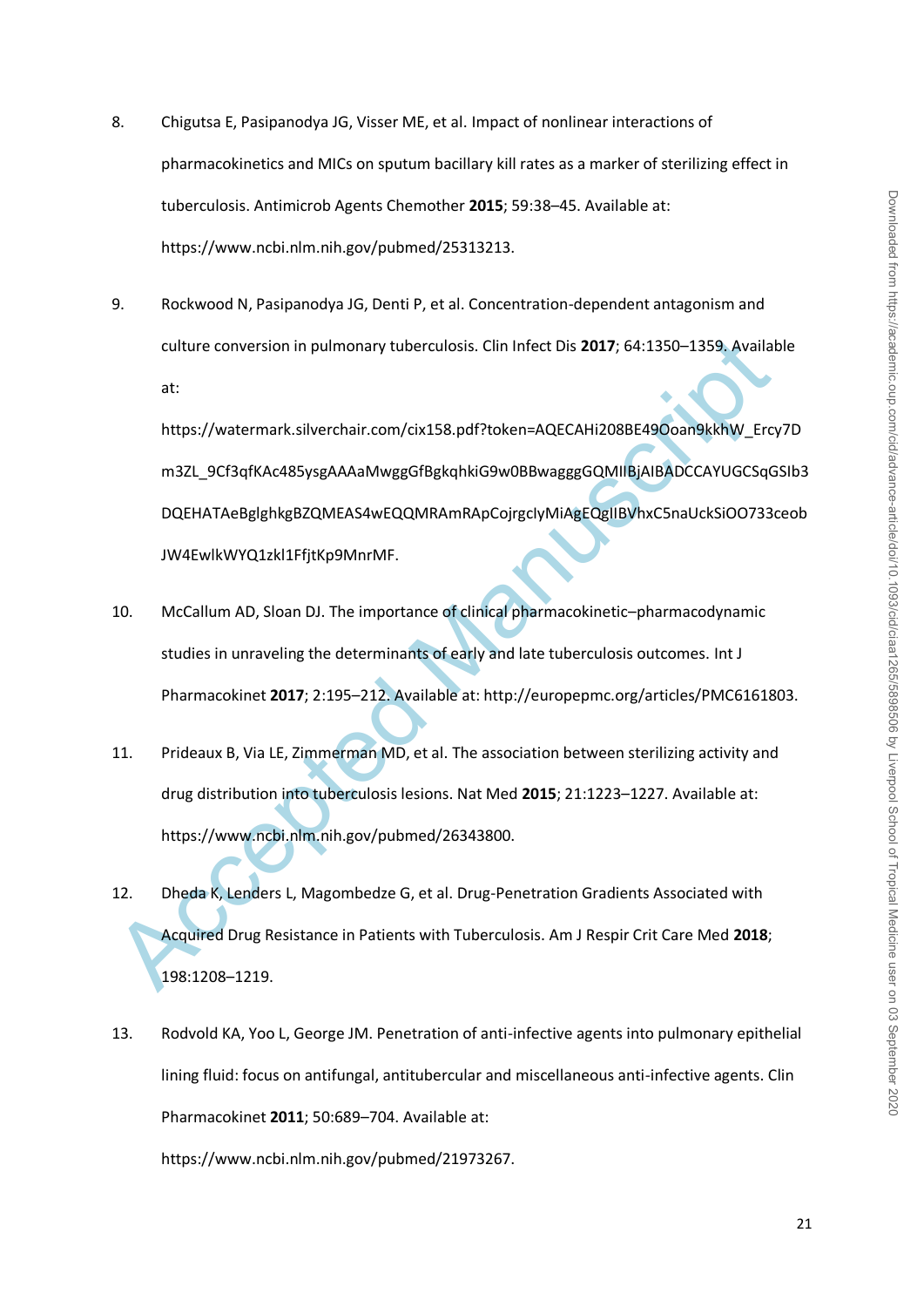- 8. Chigutsa E, Pasipanodya JG, Visser ME, et al. Impact of nonlinear interactions of pharmacokinetics and MICs on sputum bacillary kill rates as a marker of sterilizing effect in tuberculosis. Antimicrob Agents Chemother **2015**; 59:38–45. Available at: https://www.ncbi.nlm.nih.gov/pubmed/25313213.
- 9. Rockwood N, Pasipanodya JG, Denti P, et al. Concentration-dependent antagonism and culture conversion in pulmonary tuberculosis. Clin Infect Dis **2017**; 64:1350–1359. Available at:

culture conversion in pulmonary tuberculosis. Clin Infect Dis 2017; 64:1350–1359. Availat<br>at:<br>https://watermark.silverchair.com/cix158.pdf?token=AQECAHi2O8BE49Ooan9kkhW\_Erc,<br>m3ZL\_9Cf3qfKAc485ysgAAAaMwggGfBgkqhkiG9w0BBwaggg https://watermark.silverchair.com/cix158.pdf?token=AQECAHi208BE49Ooan9kkhW\_Ercy7D m3ZL\_9Cf3qfKAc485ysgAAAaMwggGfBgkqhkiG9w0BBwagggGQMIIBjAIBADCCAYUGCSqGSIb3 DQEHATAeBglghkgBZQMEAS4wEQQMRAmRApCojrgcIyMiAgEQgIIBVhxC5naUckSiOO733ceob JW4EwlkWYQ1zkl1FfjtKp9MnrMF.

- 10. McCallum AD, Sloan DJ. The importance of clinical pharmacokinetic–pharmacodynamic studies in unraveling the determinants of early and late tuberculosis outcomes. Int J Pharmacokinet **2017**; 2:195–212. Available at: http://europepmc.org/articles/PMC6161803.
- 11. Prideaux B, Via LE, Zimmerman MD, et al. The association between sterilizing activity and drug distribution into tuberculosis lesions. Nat Med **2015**; 21:1223–1227. Available at: https://www.ncbi.nlm.nih.gov/pubmed/26343800.
- 12. Dheda K, Lenders L, Magombedze G, et al. Drug-Penetration Gradients Associated with Acquired Drug Resistance in Patients with Tuberculosis. Am J Respir Crit Care Med **2018**; 198:1208–1219.
- 13. Rodvold KA, Yoo L, George JM. Penetration of anti-infective agents into pulmonary epithelial lining fluid: focus on antifungal, antitubercular and miscellaneous anti-infective agents. Clin Pharmacokinet **2011**; 50:689–704. Available at:

https://www.ncbi.nlm.nih.gov/pubmed/21973267.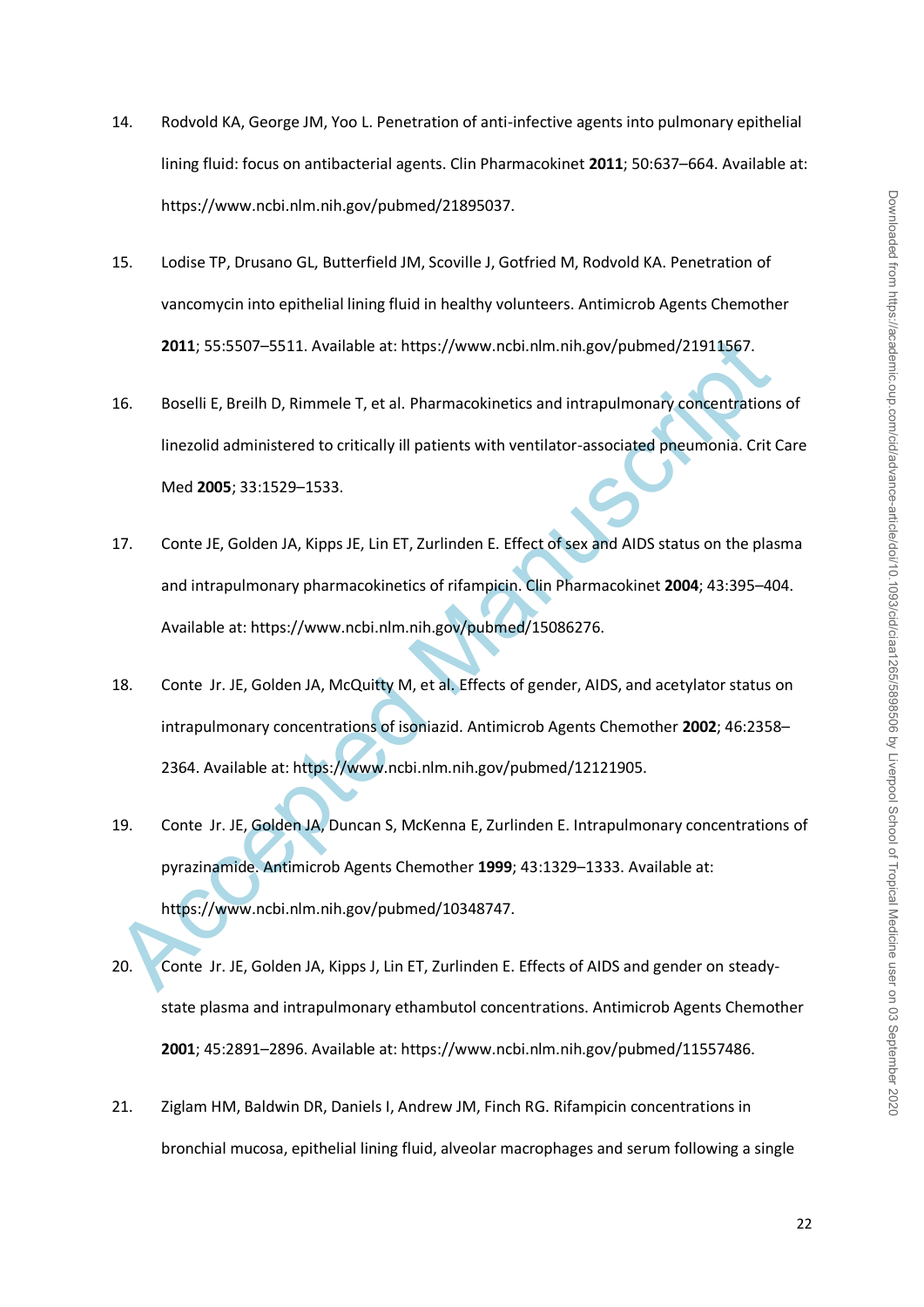- 14. Rodvold KA, George JM, Yoo L. Penetration of anti-infective agents into pulmonary epithelial lining fluid: focus on antibacterial agents. Clin Pharmacokinet **2011**; 50:637–664. Available at: https://www.ncbi.nlm.nih.gov/pubmed/21895037.
- 15. Lodise TP, Drusano GL, Butterfield JM, Scoville J, Gotfried M, Rodvold KA. Penetration of vancomycin into epithelial lining fluid in healthy volunteers. Antimicrob Agents Chemother **2011**; 55:5507–5511. Available at: https://www.ncbi.nlm.nih.gov/pubmed/21911567.
- 16. Boselli E, Breilh D, Rimmele T, et al. Pharmacokinetics and intrapulmonary concentrations of linezolid administered to critically ill patients with ventilator-associated pneumonia. Crit Care Med **2005**; 33:1529–1533.
- 17. Conte JE, Golden JA, Kipps JE, Lin ET, Zurlinden E. Effect of sex and AIDS status on the plasma and intrapulmonary pharmacokinetics of rifampicin. Clin Pharmacokinet **2004**; 43:395–404. Available at: https://www.ncbi.nlm.nih.gov/pubmed/15086276.
- 18. Conte Jr. JE, Golden JA, McQuitty M, et al. Effects of gender, AIDS, and acetylator status on intrapulmonary concentrations of isoniazid. Antimicrob Agents Chemother **2002**; 46:2358– 2364. Available at: https://www.ncbi.nlm.nih.gov/pubmed/12121905.
- 2011; 55:5507-5511. Available at: https://www.ncbi.nlm.nih.gov/pubmed/21911567.<br>
Boselli E, Breilh D, Rimmele T, et al. Pharmacokinetics and intrapulmonary concentrations<br>
linezolid administered to critically ill patients 19. Conte Jr. JE, Golden JA, Duncan S, McKenna E, Zurlinden E. Intrapulmonary concentrations of pyrazinamide. Antimicrob Agents Chemother **1999**; 43:1329–1333. Available at: https://www.ncbi.nlm.nih.gov/pubmed/10348747.
- 20. Conte Jr. JE, Golden JA, Kipps J, Lin ET, Zurlinden E. Effects of AIDS and gender on steadystate plasma and intrapulmonary ethambutol concentrations. Antimicrob Agents Chemother **2001**; 45:2891–2896. Available at: https://www.ncbi.nlm.nih.gov/pubmed/11557486.
- 21. Ziglam HM, Baldwin DR, Daniels I, Andrew JM, Finch RG. Rifampicin concentrations in bronchial mucosa, epithelial lining fluid, alveolar macrophages and serum following a single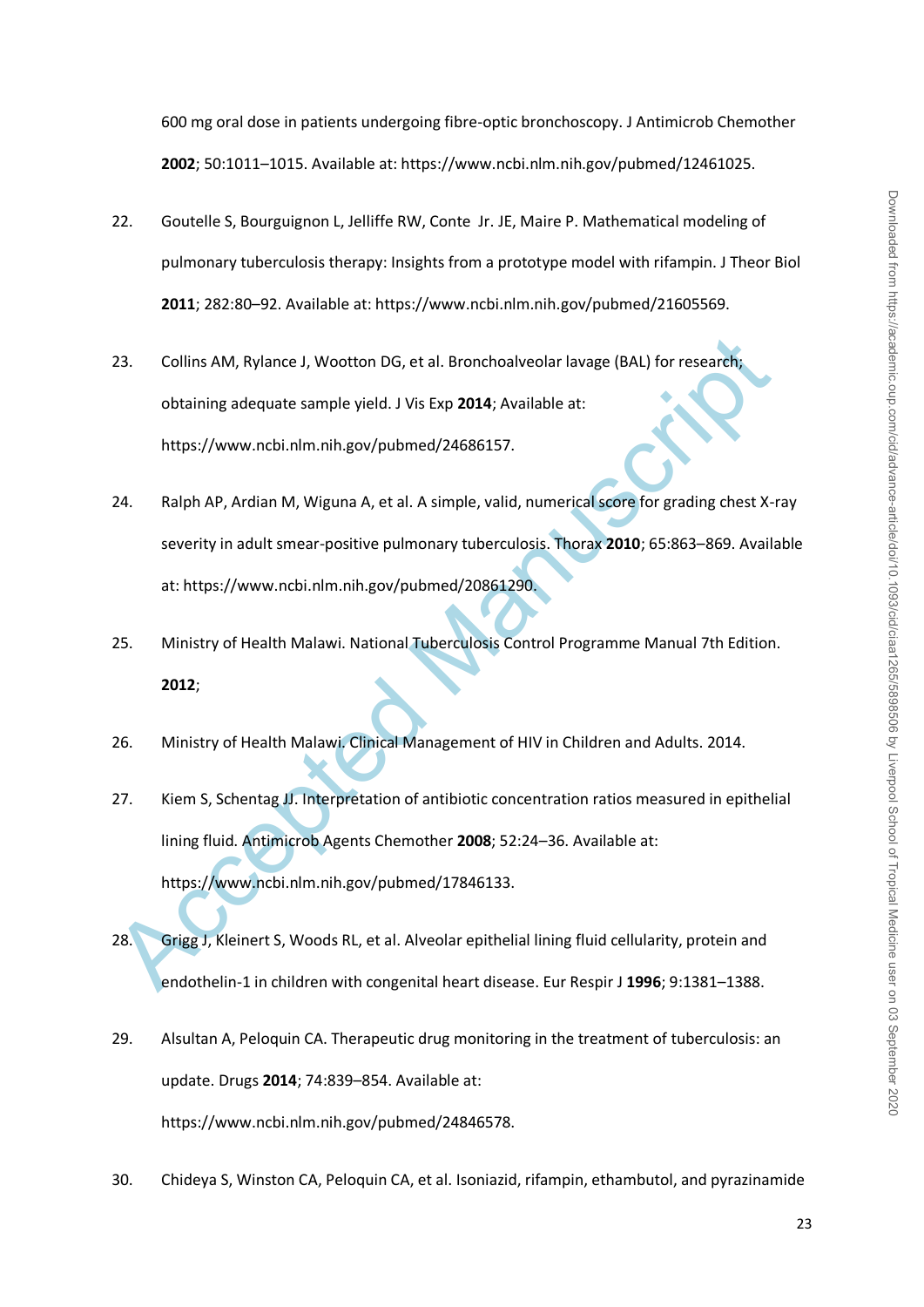# 600 mg oral dose in patients undergoing fibre-optic bronchoscopy. J Antimicrob Chemother **2002**; 50:1011–1015. Available at: https://www.ncbi.nlm.nih.gov/pubmed/12461025.

- 22. Goutelle S, Bourguignon L, Jelliffe RW, Conte Jr. JE, Maire P. Mathematical modeling of pulmonary tuberculosis therapy: Insights from a prototype model with rifampin. J Theor Biol **2011**; 282:80–92. Available at: https://www.ncbi.nlm.nih.gov/pubmed/21605569.
- 23. Collins AM, Rylance J, Wootton DG, et al. Bronchoalveolar lavage (BAL) for research; obtaining adequate sample yield. J Vis Exp **2014**; Available at: https://www.ncbi.nlm.nih.gov/pubmed/24686157.
- 24. Ralph AP, Ardian M, Wiguna A, et al. A simple, valid, numerical score for grading chest X-ray severity in adult smear-positive pulmonary tuberculosis. Thorax **2010**; 65:863–869. Available at: https://www.ncbi.nlm.nih.gov/pubmed/20861290.
- 25. Ministry of Health Malawi. National Tuberculosis Control Programme Manual 7th Edition. **2012**;
- 26. Ministry of Health Malawi. Clinical Management of HIV in Children and Adults. 2014.
- 23. Collins AM, Rylance J, Wootton DG, et al. Bronchoalveolar lavage (BAL) for researchic obtaining adequate sample yield. J Vis Exp 2014; Available at:<br>
https://www.ncbi.nlm.nih.gov/pubmed/24686157.<br>
24. Ralph AP, Ardian 27. Kiem S, Schentag JJ. Interpretation of antibiotic concentration ratios measured in epithelial lining fluid. Antimicrob Agents Chemother **2008**; 52:24–36. Available at: https://www.ncbi.nlm.nih.gov/pubmed/17846133.
- 28. Grigg J, Kleinert S, Woods RL, et al. Alveolar epithelial lining fluid cellularity, protein and endothelin-1 in children with congenital heart disease. Eur Respir J **1996**; 9:1381–1388.
- 29. Alsultan A, Peloquin CA. Therapeutic drug monitoring in the treatment of tuberculosis: an update. Drugs **2014**; 74:839–854. Available at: https://www.ncbi.nlm.nih.gov/pubmed/24846578.
- 30. Chideya S, Winston CA, Peloquin CA, et al. Isoniazid, rifampin, ethambutol, and pyrazinamide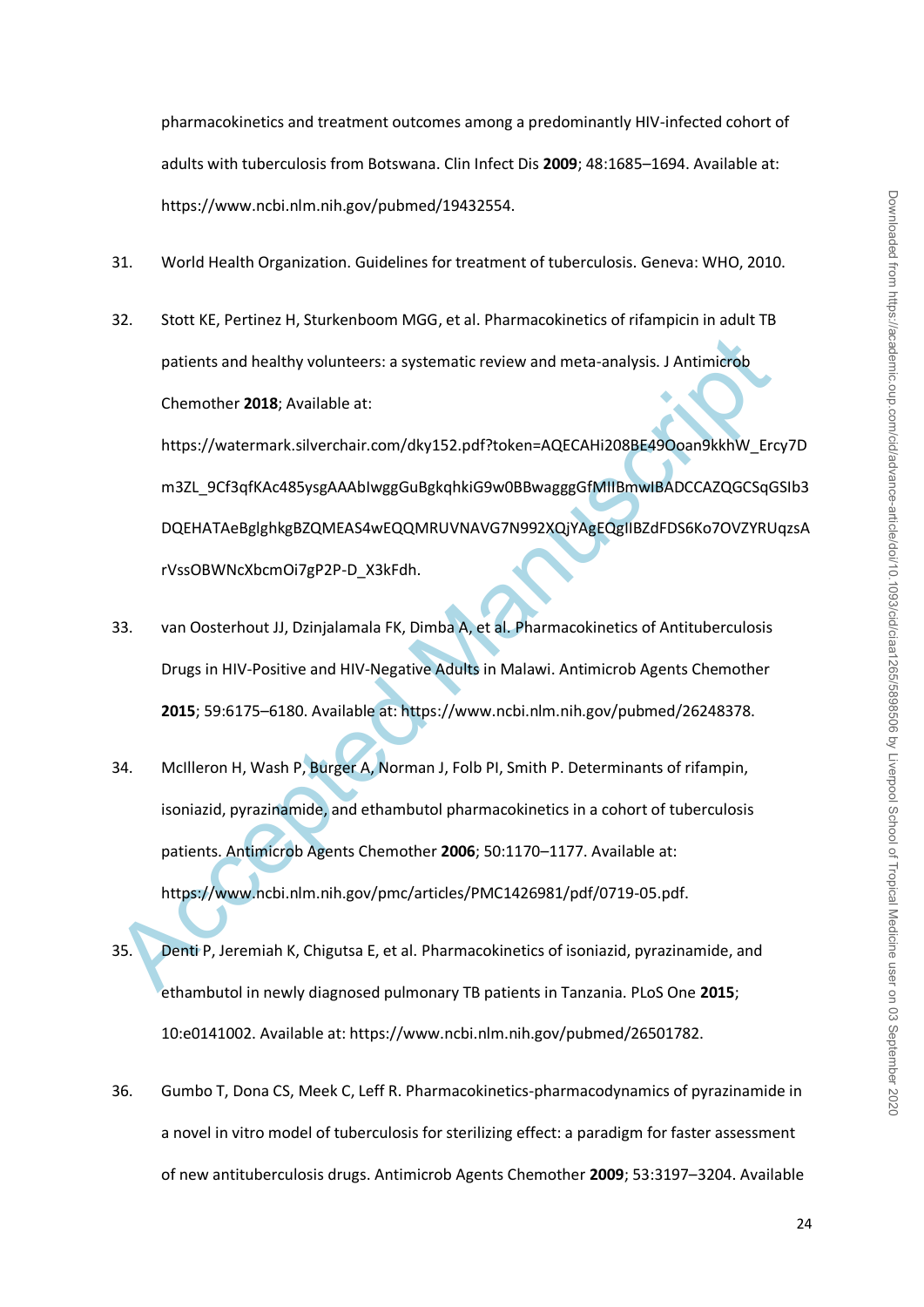pharmacokinetics and treatment outcomes among a predominantly HIV-infected cohort of adults with tuberculosis from Botswana. Clin Infect Dis **2009**; 48:1685–1694. Available at: https://www.ncbi.nlm.nih.gov/pubmed/19432554.

- 31. World Health Organization. Guidelines for treatment of tuberculosis. Geneva: WHO, 2010.
- 32. Stott KE, Pertinez H, Sturkenboom MGG, et al. Pharmacokinetics of rifampicin in adult TB patients and healthy volunteers: a systematic review and meta-analysis. J Antimicrob Chemother **2018**; Available at:

https://watermark.silverchair.com/dky152.pdf?token=AQECAHi208BE49Ooan9kkhW\_Ercy7D m3ZL\_9Cf3qfKAc485ysgAAAbIwggGuBgkqhkiG9w0BBwagggGfMIIBmwIBADCCAZQGCSqGSIb3 DQEHATAeBglghkgBZQMEAS4wEQQMRUVNAVG7N992XQjYAgEQgIIBZdFDS6Ko7OVZYRUqzsA rVssOBWNcXbcmOi7gP2P-D\_X3kFdh.

- 33. van Oosterhout JJ, Dzinjalamala FK, Dimba A, et al. Pharmacokinetics of Antituberculosis Drugs in HIV-Positive and HIV-Negative Adults in Malawi. Antimicrob Agents Chemother **2015**; 59:6175–6180. Available at: https://www.ncbi.nlm.nih.gov/pubmed/26248378.
- patients and healthy volunteers: a systematic review and meta-analysis. J Antimierob<br>
Chemother 2018; Available at:<br>
https://watermark.silverchair.com/dky152.pdf?token=AQECAHi208BE490oan9kkhW\_Erc<br>
m3ZL\_9Cf3qfKAc485ysgAAblw 34. McIlleron H, Wash P, Burger A, Norman J, Folb PI, Smith P. Determinants of rifampin, isoniazid, pyrazinamide, and ethambutol pharmacokinetics in a cohort of tuberculosis patients. Antimicrob Agents Chemother **2006**; 50:1170–1177. Available at: https://www.ncbi.nlm.nih.gov/pmc/articles/PMC1426981/pdf/0719-05.pdf.
- 35. Denti P, Jeremiah K, Chigutsa E, et al. Pharmacokinetics of isoniazid, pyrazinamide, and ethambutol in newly diagnosed pulmonary TB patients in Tanzania. PLoS One **2015**; 10:e0141002. Available at: https://www.ncbi.nlm.nih.gov/pubmed/26501782.
- 36. Gumbo T, Dona CS, Meek C, Leff R. Pharmacokinetics-pharmacodynamics of pyrazinamide in a novel in vitro model of tuberculosis for sterilizing effect: a paradigm for faster assessment of new antituberculosis drugs. Antimicrob Agents Chemother **2009**; 53:3197–3204. Available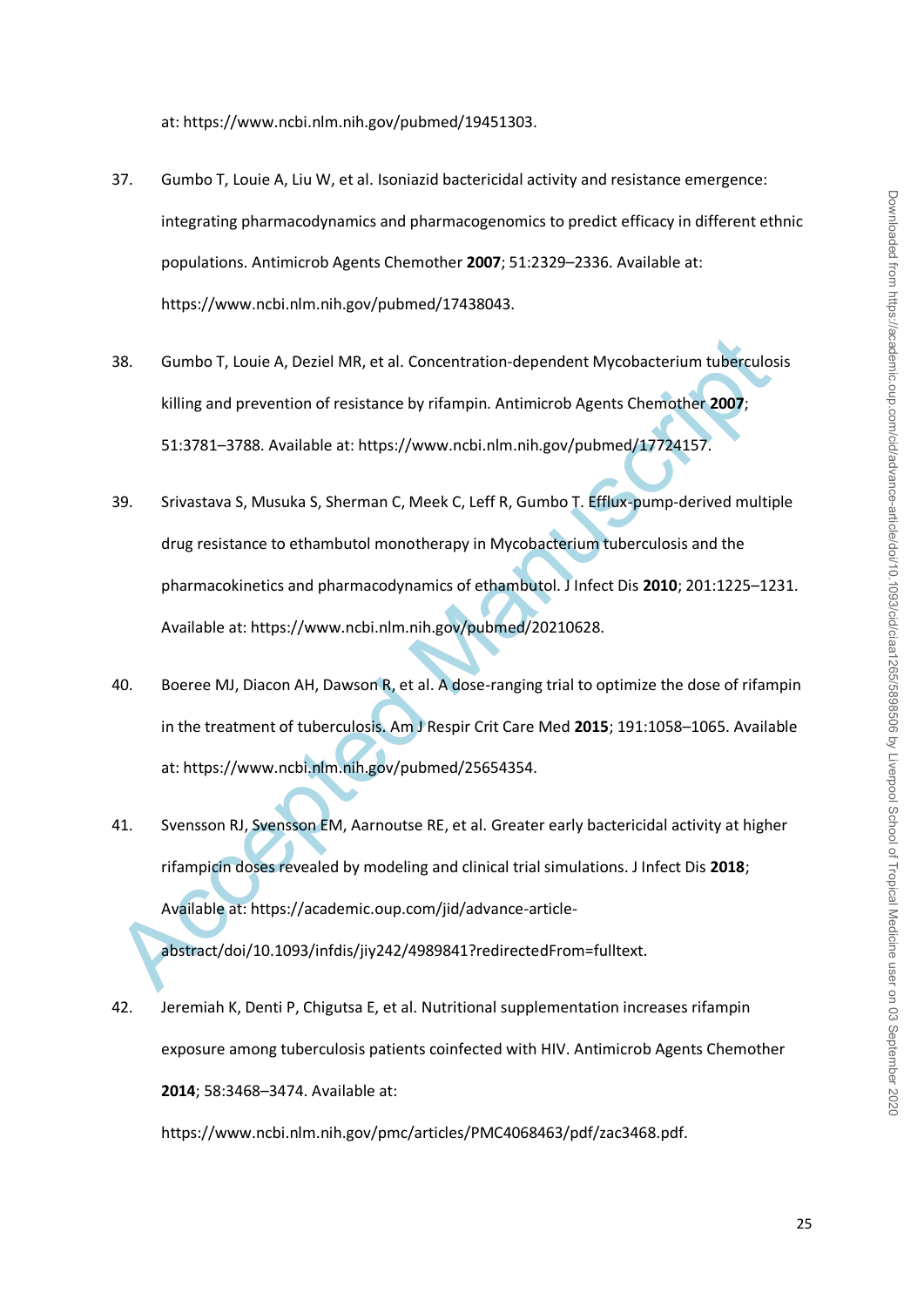at: https://www.ncbi.nlm.nih.gov/pubmed/19451303.

- 37. Gumbo T, Louie A, Liu W, et al. Isoniazid bactericidal activity and resistance emergence: integrating pharmacodynamics and pharmacogenomics to predict efficacy in different ethnic populations. Antimicrob Agents Chemother **2007**; 51:2329–2336. Available at: https://www.ncbi.nlm.nih.gov/pubmed/17438043.
- 38. Gumbo T, Louie A, Deziel MR, et al. Concentration-dependent Mycobacterium tuberculosis killing and prevention of resistance by rifampin. Antimicrob Agents Chemother **2007**; 51:3781–3788. Available at: https://www.ncbi.nlm.nih.gov/pubmed/17724157.
- 38. Gumbo T, Louie A, Deziel MR, et al. Concentration-dependent Mycobacterium tuberculos<br>
killing and prevention of resistance by rifampin. Antimicrob Agents Chemother 2007;<br>
51:3781–3788. Available at: https://www.ncbi.nl 39. Srivastava S, Musuka S, Sherman C, Meek C, Leff R, Gumbo T. Efflux-pump-derived multiple drug resistance to ethambutol monotherapy in Mycobacterium tuberculosis and the pharmacokinetics and pharmacodynamics of ethambutol. J Infect Dis **2010**; 201:1225–1231. Available at: https://www.ncbi.nlm.nih.gov/pubmed/20210628.
- 40. Boeree MJ, Diacon AH, Dawson R, et al. A dose-ranging trial to optimize the dose of rifampin in the treatment of tuberculosis. Am J Respir Crit Care Med **2015**; 191:1058–1065. Available at: https://www.ncbi.nlm.nih.gov/pubmed/25654354.
- 41. Svensson RJ, Svensson EM, Aarnoutse RE, et al. Greater early bactericidal activity at higher rifampicin doses revealed by modeling and clinical trial simulations. J Infect Dis **2018**; Available at: https://academic.oup.com/jid/advance-articleabstract/doi/10.1093/infdis/jiy242/4989841?redirectedFrom=fulltext.
- 42. Jeremiah K, Denti P, Chigutsa E, et al. Nutritional supplementation increases rifampin exposure among tuberculosis patients coinfected with HIV. Antimicrob Agents Chemother **2014**; 58:3468–3474. Available at:

https://www.ncbi.nlm.nih.gov/pmc/articles/PMC4068463/pdf/zac3468.pdf.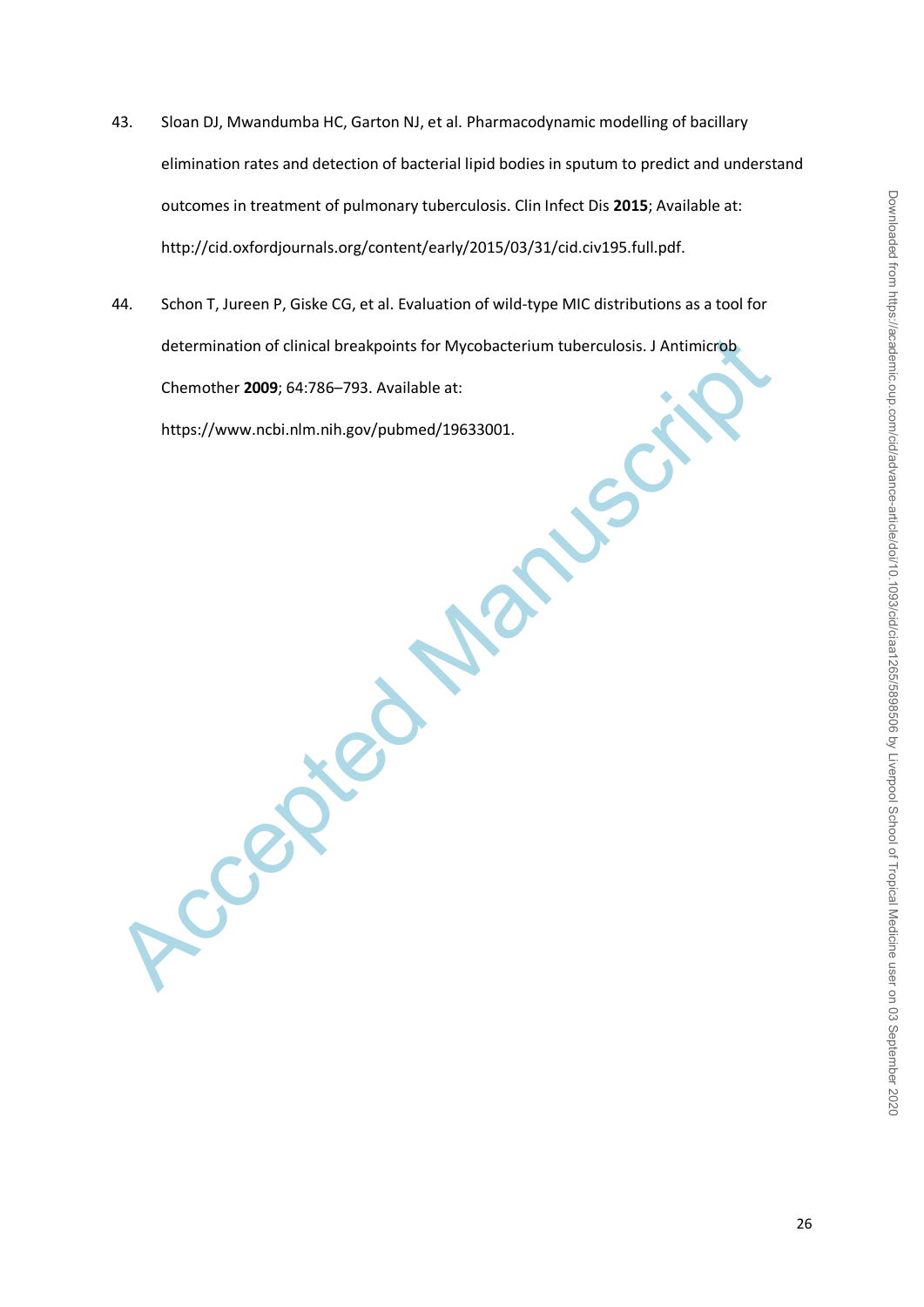- 43. Sloan DJ, Mwandumba HC, Garton NJ, et al. Pharmacodynamic modelling of bacillary elimination rates and detection of bacterial lipid bodies in sputum to predict and understand outcomes in treatment of pulmonary tuberculosis. Clin Infect Dis **2015**; Available at: http://cid.oxfordjournals.org/content/early/2015/03/31/cid.civ195.full.pdf.
- 44. Schon T, Jureen P, Giske CG, et al. Evaluation of wild-type MIC distributions as a tool for determination of clinical breakpoints for Mycobacterium tuberculosis. J Antimicrob Chemother **2009**; 64:786–793. Available at:

https://www.ncbi.nlm.nih.gov/pubmed/19633001.

Accepted Manuscript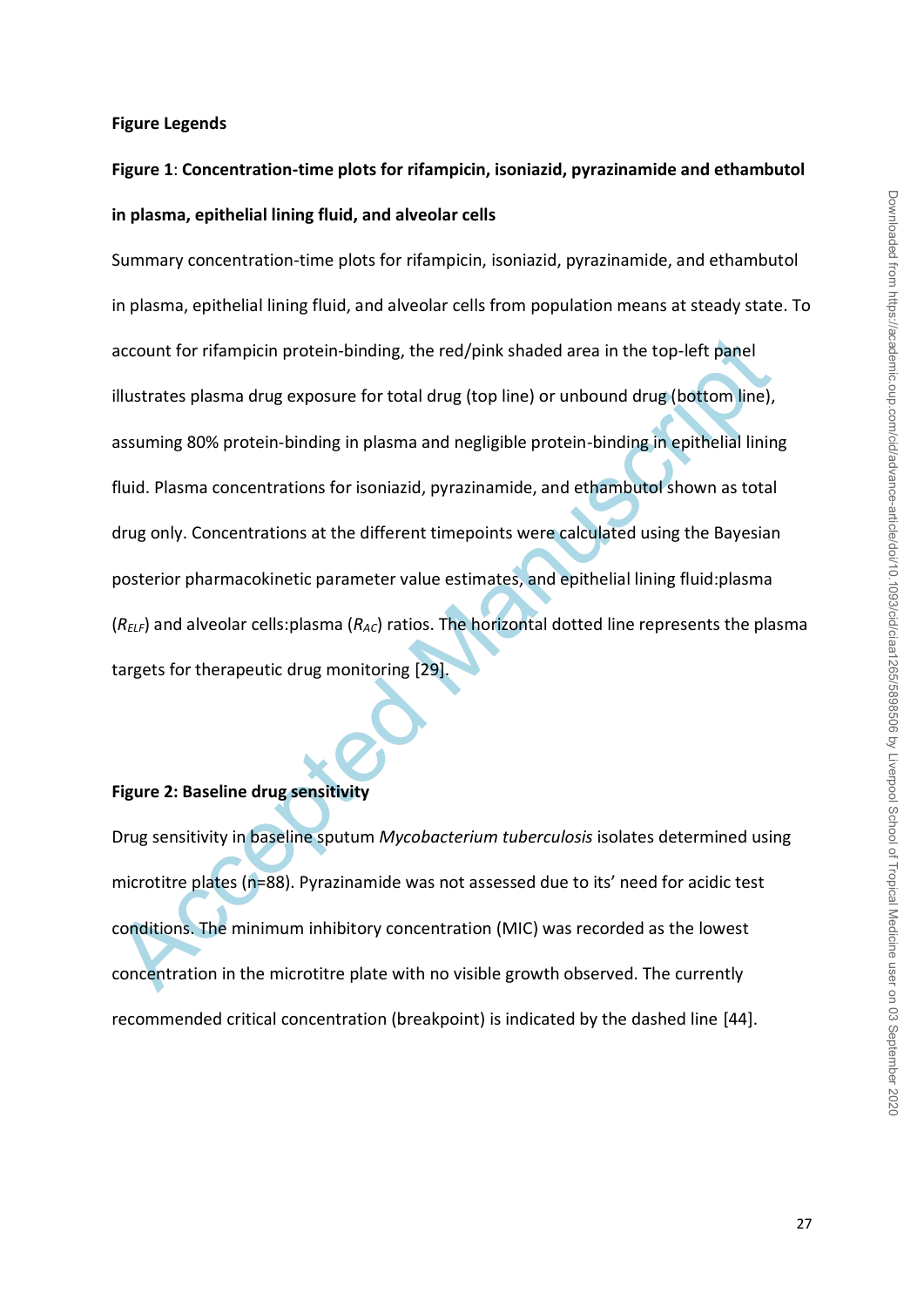#### **Figure Legends**

# **Figure 1**: **Concentration-time plots for rifampicin, isoniazid, pyrazinamide and ethambutol in plasma, epithelial lining fluid, and alveolar cells**

account for rifampicin protein-binding, the red/pink shaded area in the top-left panel<br>illustrates plasma drug exposure for total drug (top line) or unbound drug (bottom line),<br>assuming 80% protein-binding in plasma and ne Summary concentration-time plots for rifampicin, isoniazid, pyrazinamide, and ethambutol in plasma, epithelial lining fluid, and alveolar cells from population means at steady state. To account for rifampicin protein-binding, the red/pink shaded area in the top-left panel illustrates plasma drug exposure for total drug (top line) or unbound drug (bottom line), assuming 80% protein-binding in plasma and negligible protein-binding in epithelial lining fluid. Plasma concentrations for isoniazid, pyrazinamide, and ethambutol shown as total drug only. Concentrations at the different timepoints were calculated using the Bayesian posterior pharmacokinetic parameter value estimates, and epithelial lining fluid:plasma (*RELF*) and alveolar cells:plasma (*RAC*) ratios. The horizontal dotted line represents the plasma targets for therapeutic drug monitoring [29].

#### **Figure 2: Baseline drug sensitivity**

Drug sensitivity in baseline sputum *Mycobacterium tuberculosis* isolates determined using microtitre plates (n=88). Pyrazinamide was not assessed due to its' need for acidic test conditions. The minimum inhibitory concentration (MIC) was recorded as the lowest concentration in the microtitre plate with no visible growth observed. The currently recommended critical concentration (breakpoint) is indicated by the dashed line [44].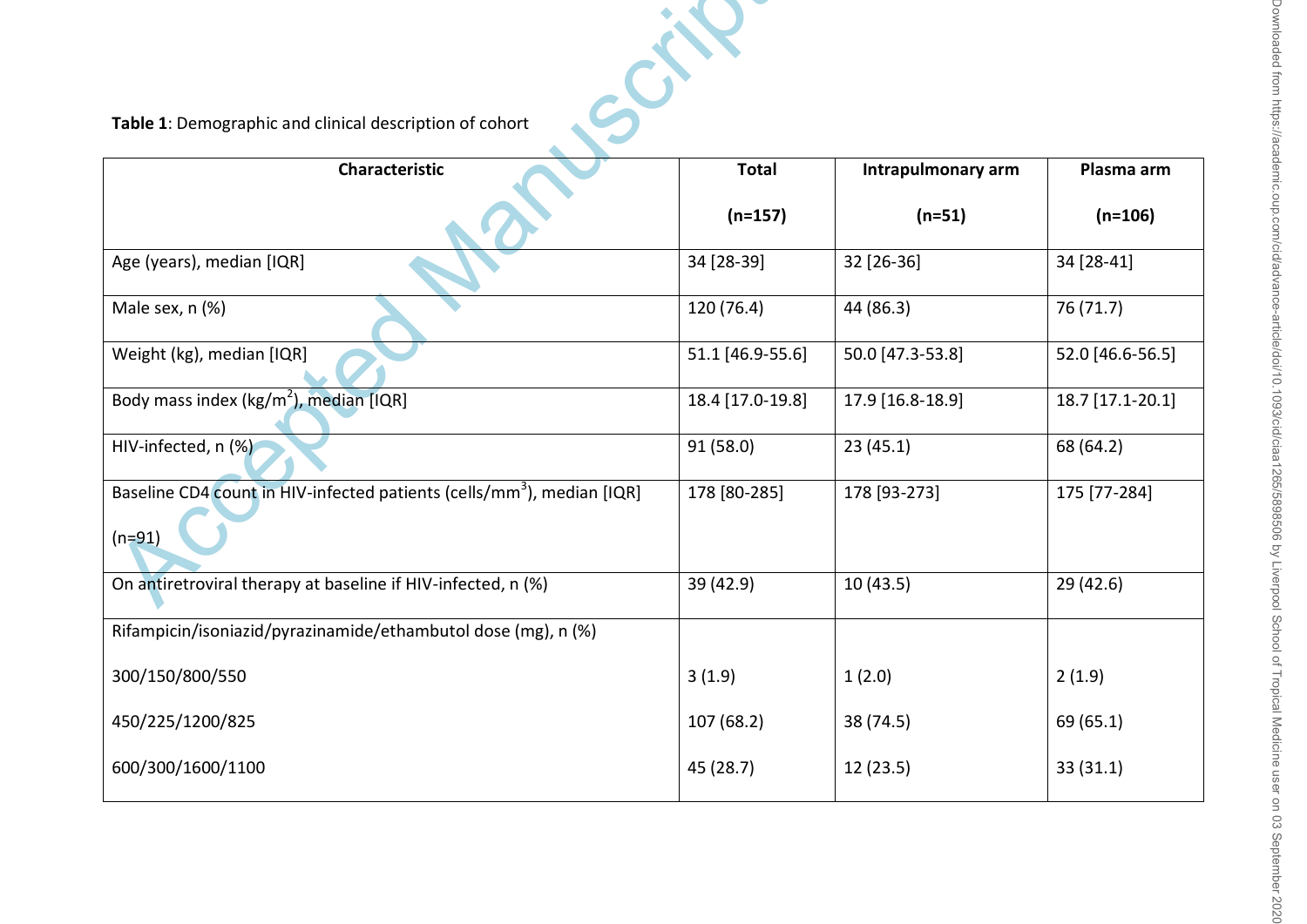| Table 1: Demographic and clinical description of cohort                                        |                  |                    |                  |  |  |  |  |
|------------------------------------------------------------------------------------------------|------------------|--------------------|------------------|--|--|--|--|
| Characteristic                                                                                 | <b>Total</b>     | Intrapulmonary arm | Plasma arm       |  |  |  |  |
|                                                                                                | $(n=157)$        | $(n=51)$           | $(n=106)$        |  |  |  |  |
| Age (years), median [IQR]                                                                      | 34 [28-39]       | 32 [26-36]         | 34 [28-41]       |  |  |  |  |
| Male sex, n (%)                                                                                | 120(76.4)        | 44 (86.3)          | 76 (71.7)        |  |  |  |  |
| Weight (kg), median [IQR]                                                                      | 51.1 [46.9-55.6] | 50.0 [47.3-53.8]   | 52.0 [46.6-56.5] |  |  |  |  |
| Body mass index (kg/m <sup>2</sup> ), median [IQR]                                             | 18.4 [17.0-19.8] | 17.9 [16.8-18.9]   | 18.7 [17.1-20.1] |  |  |  |  |
| HIV-infected, n (%)                                                                            | 91 (58.0)        | 23(45.1)           | 68 (64.2)        |  |  |  |  |
| Baseline CD4 count in HIV-infected patients (cells/mm <sup>3</sup> ), median [IQR]<br>$(n=91)$ | 178 [80-285]     | 178 [93-273]       | 175 [77-284]     |  |  |  |  |
| On antiretroviral therapy at baseline if HIV-infected, n (%)                                   | 39 (42.9)        | 10(43.5)           | 29 (42.6)        |  |  |  |  |
| Rifampicin/isoniazid/pyrazinamide/ethambutol dose (mg), n (%)                                  |                  |                    |                  |  |  |  |  |
| 300/150/800/550                                                                                | 3(1.9)           | 1(2.0)             | 2(1.9)           |  |  |  |  |
| 450/225/1200/825                                                                               | 107 (68.2)       | 38 (74.5)          | 69 (65.1)        |  |  |  |  |
| 600/300/1600/1100                                                                              | 45 (28.7)        | 12 (23.5)          | 33 (31.1)        |  |  |  |  |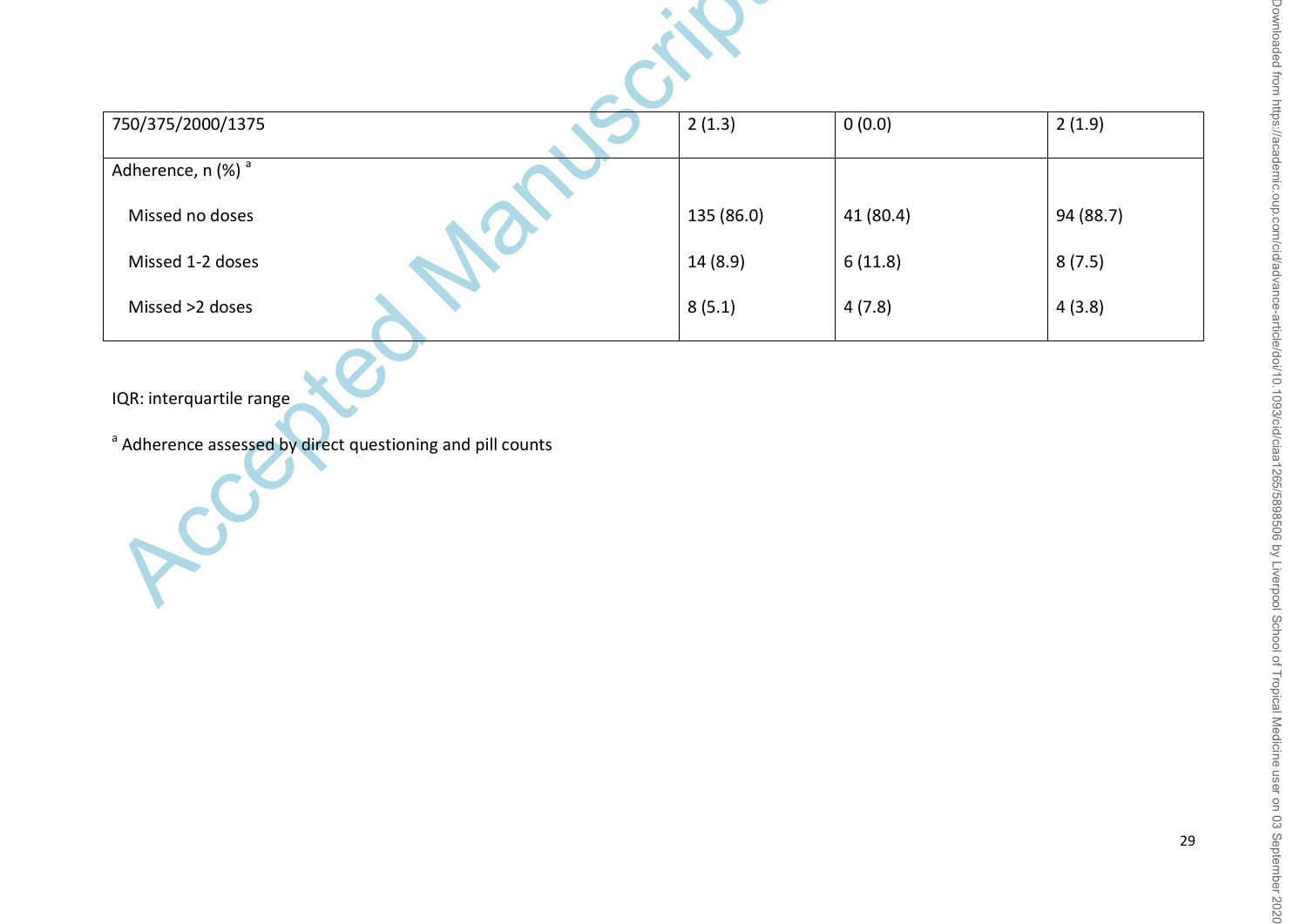| ι<br>J                                          |  |
|-------------------------------------------------|--|
| $\overline{2}$<br>¢                             |  |
| ź                                               |  |
| Š<br>Î                                          |  |
| $\bar{c}$<br>)                                  |  |
| ğ                                               |  |
|                                                 |  |
| $\frac{1}{2}$<br>1                              |  |
| i<br>S<br>2                                     |  |
|                                                 |  |
| mom                                             |  |
|                                                 |  |
|                                                 |  |
| $\frac{1}{2}$                                   |  |
|                                                 |  |
|                                                 |  |
| Ū<br>C                                          |  |
| i<br>ׇ֚֝                                        |  |
| S<br>יבור.<br>ארבות                             |  |
| i                                               |  |
| ì                                               |  |
|                                                 |  |
| $\frac{1}{2}$<br>$\overline{ }$                 |  |
|                                                 |  |
| <b>NIC.c</b>                                    |  |
| $\supset$                                       |  |
| ļ                                               |  |
| ᇦ<br>1                                          |  |
|                                                 |  |
| Š                                               |  |
| ğ                                               |  |
| ł                                               |  |
| I<br>l.                                         |  |
| i<br>١                                          |  |
|                                                 |  |
| /ad\                                            |  |
|                                                 |  |
| š<br>S<br>١                                     |  |
|                                                 |  |
| ē<br>i<br>ć                                     |  |
| )                                               |  |
| - 10<br>j                                       |  |
| $\frac{1}{2}$<br>È                              |  |
| $\overline{\phantom{a}}$                        |  |
| ģ                                               |  |
| ۱                                               |  |
| ì<br>ò                                          |  |
| Ξ                                               |  |
|                                                 |  |
| $\frac{1}{2}$                                   |  |
| $\ddot{\cdot}$                                  |  |
|                                                 |  |
| ¢<br>J<br>)                                     |  |
| $\frac{1}{2}$                                   |  |
| וכהר                                            |  |
| $\subseteq$                                     |  |
| Ξ<br>2                                          |  |
| İ                                               |  |
| ļ<br>١                                          |  |
| ă                                               |  |
| ١                                               |  |
| Š                                               |  |
|                                                 |  |
| J                                               |  |
| J                                               |  |
| 1801<br>i                                       |  |
| ì                                               |  |
| $\frac{1}{2}$<br>Ć                              |  |
| $\overline{ }$                                  |  |
|                                                 |  |
| כ<br>כ                                          |  |
| ς                                               |  |
|                                                 |  |
| u ancar                                         |  |
|                                                 |  |
|                                                 |  |
| Ę                                               |  |
|                                                 |  |
|                                                 |  |
| verpi<br>$\overline{\phantom{a}}$               |  |
| $\overline{\phantom{a}}$                        |  |
| כ<br>כ                                          |  |
| $\mathfrak{z}$<br>I                             |  |
| $\frac{1}{2}$                                   |  |
| Š<br>j<br>Ï<br>١                                |  |
| ١                                               |  |
| $\ddot{\phantom{0}}$                            |  |
| $\overline{a}$<br>$\ddot{\phantom{0}}$<br>ï     |  |
|                                                 |  |
| ł                                               |  |
|                                                 |  |
| doJ                                             |  |
| ≍                                               |  |
| ו<br>ו                                          |  |
|                                                 |  |
|                                                 |  |
| i                                               |  |
| j                                               |  |
| ï                                               |  |
| ١                                               |  |
| ï                                               |  |
|                                                 |  |
| ï                                               |  |
| s<br>C<br>1                                     |  |
| $\frac{1}{2}$                                   |  |
|                                                 |  |
| $\overline{\phantom{0}}$                        |  |
|                                                 |  |
| I<br>֖֢ׅ֢ׅ֖֖֚֚֚֚֚֚֚֚֚֚֚֚֚֚֚֚֚֚֚֚֚֚֚֚֬<br>I<br>١ |  |
|                                                 |  |
| I<br>ׇ֚֘֝֕                                      |  |
| Ó<br>۱                                          |  |
| ī                                               |  |
| ί<br>1                                          |  |
| ׇ֚֚֘֝֬֝                                         |  |
| ï<br>۱                                          |  |
| ١                                               |  |
| Ì<br>ţ                                          |  |
| I                                               |  |
| )                                               |  |
| i<br>١<br>I                                     |  |

| 750/375/2000/1375                                                                                 | 2(1.3)     | 0(0.0)    | 2(1.9)    |
|---------------------------------------------------------------------------------------------------|------------|-----------|-----------|
| Adherence, n $(\%)$ <sup>a</sup>                                                                  |            |           |           |
| Missed no doses                                                                                   | 135 (86.0) | 41 (80.4) | 94 (88.7) |
| Missed 1-2 doses                                                                                  | 14 (8.9)   | 6(11.8)   | 8(7.5)    |
| Missed >2 doses                                                                                   | 8(5.1)     | 4(7.8)    | 4(3.8)    |
| IQR: interquartile range<br><sup>a</sup> Adherence assessed by direct questioning and pill counts |            |           |           |

29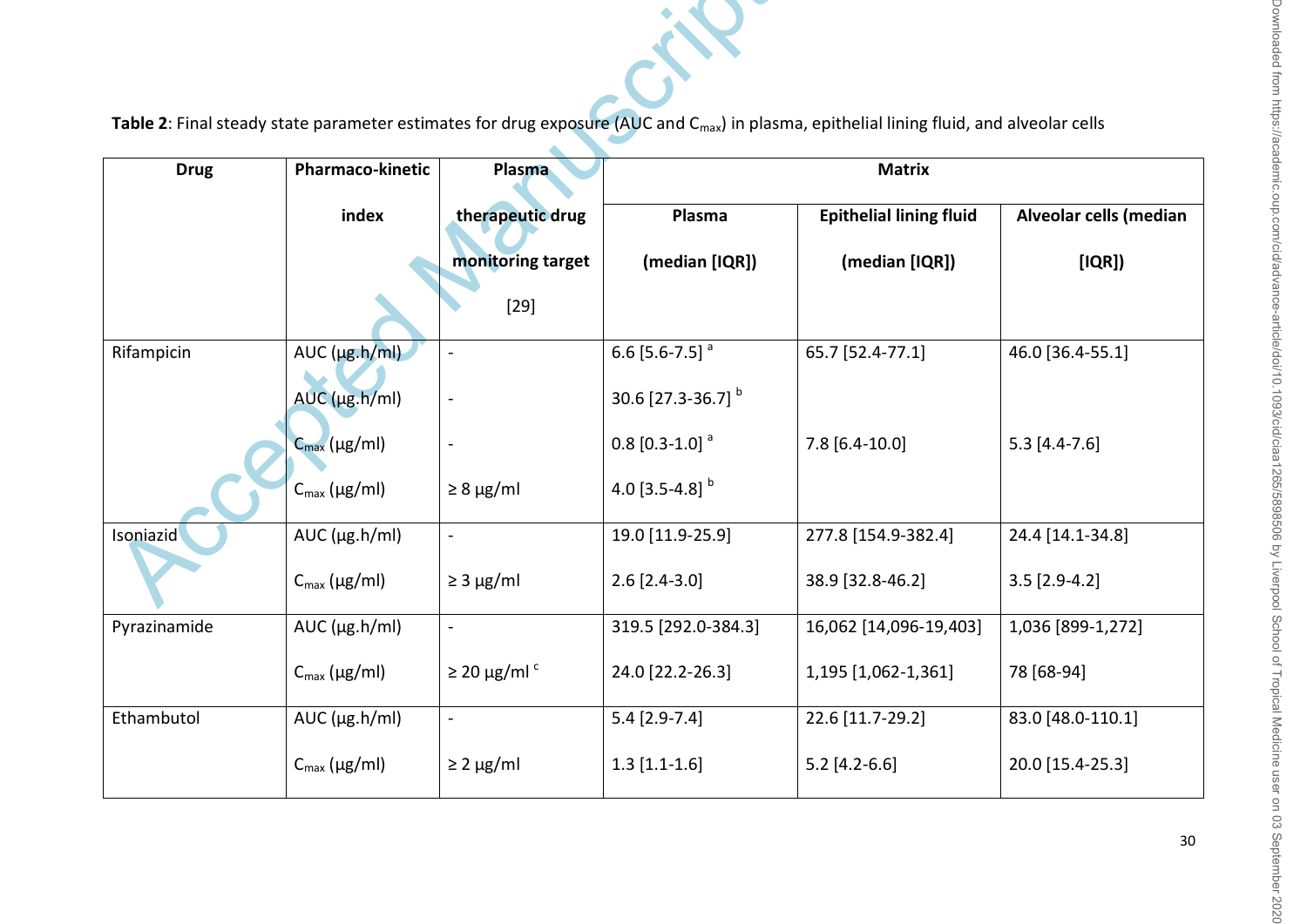| Table 2: Final steady state parameter estimates for drug exposure (AUC and C <sub>max</sub> ) in plasma, epithelial lining fluid, and alveolar cells |                            |                                       |                                |                                                  |                                 |  |
|------------------------------------------------------------------------------------------------------------------------------------------------------|----------------------------|---------------------------------------|--------------------------------|--------------------------------------------------|---------------------------------|--|
| <b>Drug</b>                                                                                                                                          | Pharmaco-kinetic           | Plasma                                | <b>Matrix</b>                  |                                                  |                                 |  |
|                                                                                                                                                      | index                      | therapeutic drug<br>monitoring target | Plasma<br>(median [IQR])       | <b>Epithelial lining fluid</b><br>(median [IQR]) | Alveolar cells (median<br>[IQR] |  |
|                                                                                                                                                      |                            | $[29]$                                |                                |                                                  |                                 |  |
| Rifampicin                                                                                                                                           | $AUC$ ( $\mu$ g.h/ml)      |                                       | 6.6 $[5.6 - 7.5]$ <sup>a</sup> | 65.7 [52.4-77.1]                                 | 46.0 [36.4-55.1]                |  |
|                                                                                                                                                      | $AUC$ ( $\mu$ g.h/ml)      |                                       | 30.6 [27.3-36.7] b             |                                                  |                                 |  |
|                                                                                                                                                      | $C_{\text{max}}(\mu g/ml)$ |                                       | $0.8$ [0.3-1.0] <sup>a</sup>   | $7.8$ [6.4-10.0]                                 | $5.3$ [4.4-7.6]                 |  |
|                                                                                                                                                      | $C_{\text{max}}$ (µg/ml)   | $\geq 8 \mu g/ml$                     | 4.0 $[3.5-4.8]$ <sup>b</sup>   |                                                  |                                 |  |
| Isoniazid                                                                                                                                            | $AUC$ ( $\mu$ g.h/ml)      |                                       | 19.0 [11.9-25.9]               | 277.8 [154.9-382.4]                              | 24.4 [14.1-34.8]                |  |
|                                                                                                                                                      | $C_{\text{max}}$ (µg/ml)   | $\geq$ 3 µg/ml                        | $2.6$ [2.4-3.0]                | 38.9 [32.8-46.2]                                 | $3.5$ [2.9-4.2]                 |  |
| Pyrazinamide                                                                                                                                         | $AUC$ ( $\mu$ g.h/ml)      | $\blacksquare$                        | 319.5 [292.0-384.3]            | 16,062 [14,096-19,403]                           | 1,036 [899-1,272]               |  |
|                                                                                                                                                      | $C_{\text{max}}$ (µg/ml)   | $\geq$ 20 µg/ml <sup>c</sup>          | 24.0 [22.2-26.3]               | 1,195 [1,062-1,361]                              | 78 [68-94]                      |  |
| Ethambutol                                                                                                                                           | $AUC$ ( $\mu$ g.h/ml)      |                                       | $5.4$ [2.9-7.4]                | 22.6 [11.7-29.2]                                 | 83.0 [48.0-110.1]               |  |
|                                                                                                                                                      | $C_{\text{max}}$ (µg/ml)   | $\geq$ 2 µg/ml                        | $1.3$ [1.1-1.6]                | $5.2$ [4.2-6.6]                                  | 20.0 [15.4-25.3]                |  |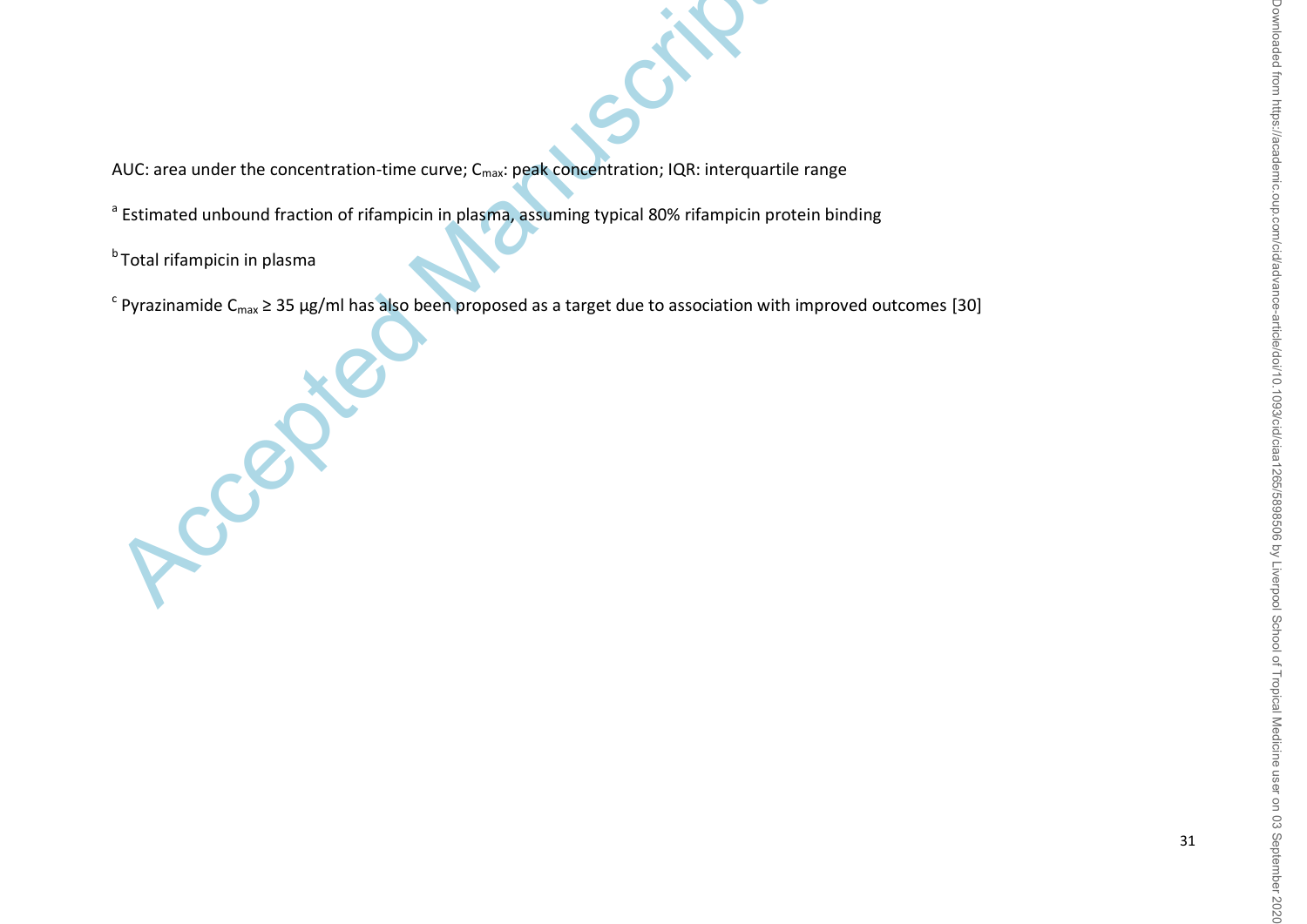AUC: area under the concentration-time curve; C<sub>max</sub>: peak concentration; IQR: interquartile range

<sup>a</sup> Estimated unbound fraction of rifampicin in plasma, assuming typical 80% rifampicin protein binding

<sup>b</sup> Total rifampicin in plasma

Accepted Manuscript

 $^c$  Pyrazinamide C<sub>max</sub> ≥ 35 µg/ml has also been proposed as a target due to association with improved outcomes [30]

31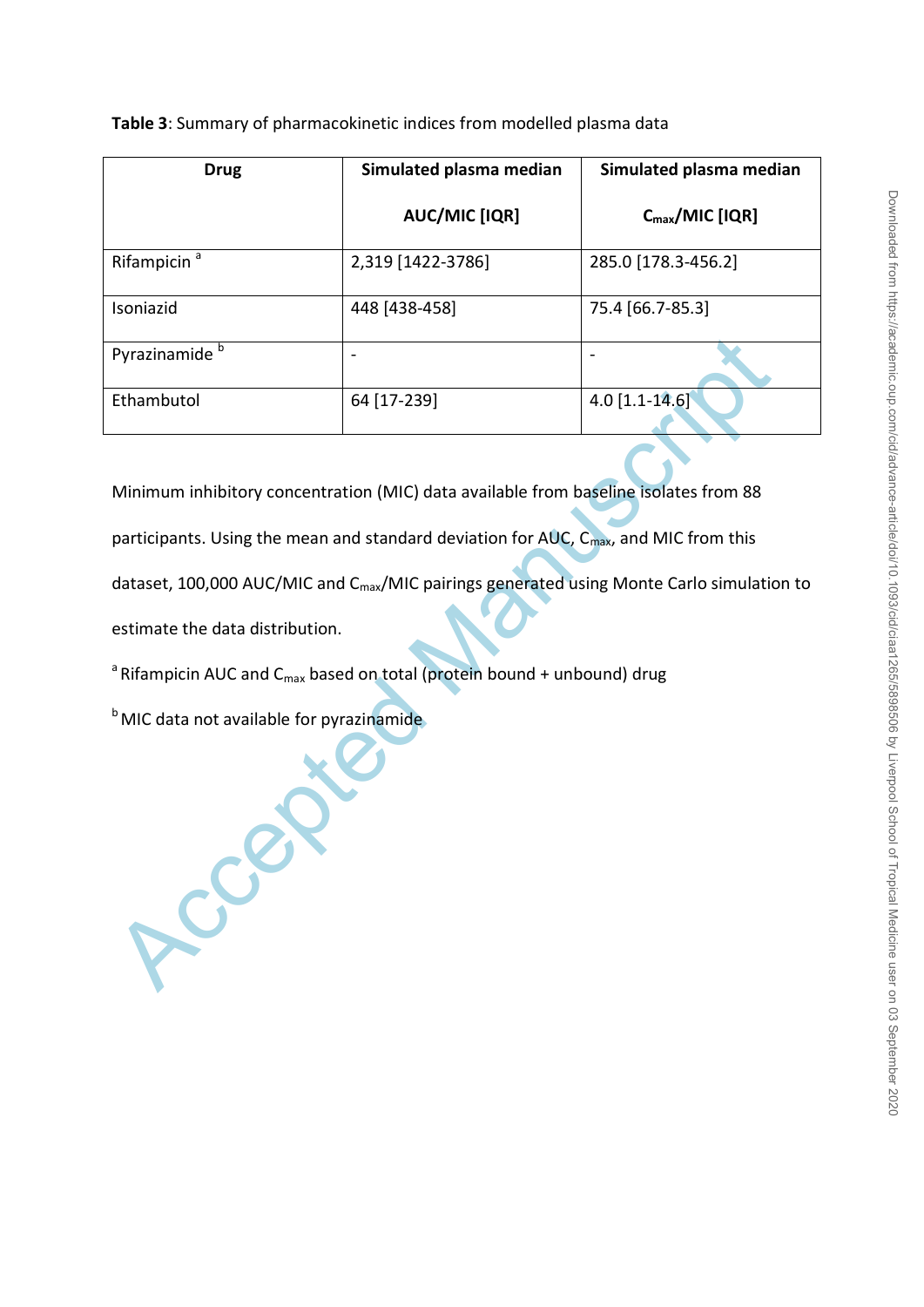**Table 3**: Summary of pharmacokinetic indices from modelled plasma data

| <b>Drug</b>                                          | Simulated plasma median                                                                               |                             |
|------------------------------------------------------|-------------------------------------------------------------------------------------------------------|-----------------------------|
|                                                      | <b>AUC/MIC [IQR]</b>                                                                                  | $C_{\text{max}}/$ MIC [IQR] |
| Rifampicin <sup>a</sup>                              | 2,319 [1422-3786]                                                                                     | 285.0 [178.3-456.2]         |
| Isoniazid                                            | 448 [438-458]                                                                                         | 75.4 [66.7-85.3]            |
| Pyrazinamide <sup>b</sup>                            |                                                                                                       |                             |
| Ethambutol                                           | 64 [17-239]                                                                                           | $4.0$ [1.1-14.6]            |
|                                                      |                                                                                                       |                             |
|                                                      | Minimum inhibitory concentration (MIC) data available from baseline isolates from 88                  |                             |
|                                                      | participants. Using the mean and standard deviation for AUC, C <sub>max</sub> , and MIC from this     |                             |
|                                                      | dataset, 100,000 AUC/MIC and C <sub>max</sub> /MIC pairings generated using Monte Carlo simulation to |                             |
| estimate the data distribution.                      |                                                                                                       |                             |
|                                                      | <sup>a</sup> Rifampicin AUC and C <sub>max</sub> based on total (protein bound + unbound) drug        |                             |
| <sup>b</sup> MIC data not available for pyrazinamide |                                                                                                       |                             |
|                                                      |                                                                                                       |                             |
| LCCE                                                 |                                                                                                       |                             |
|                                                      |                                                                                                       |                             |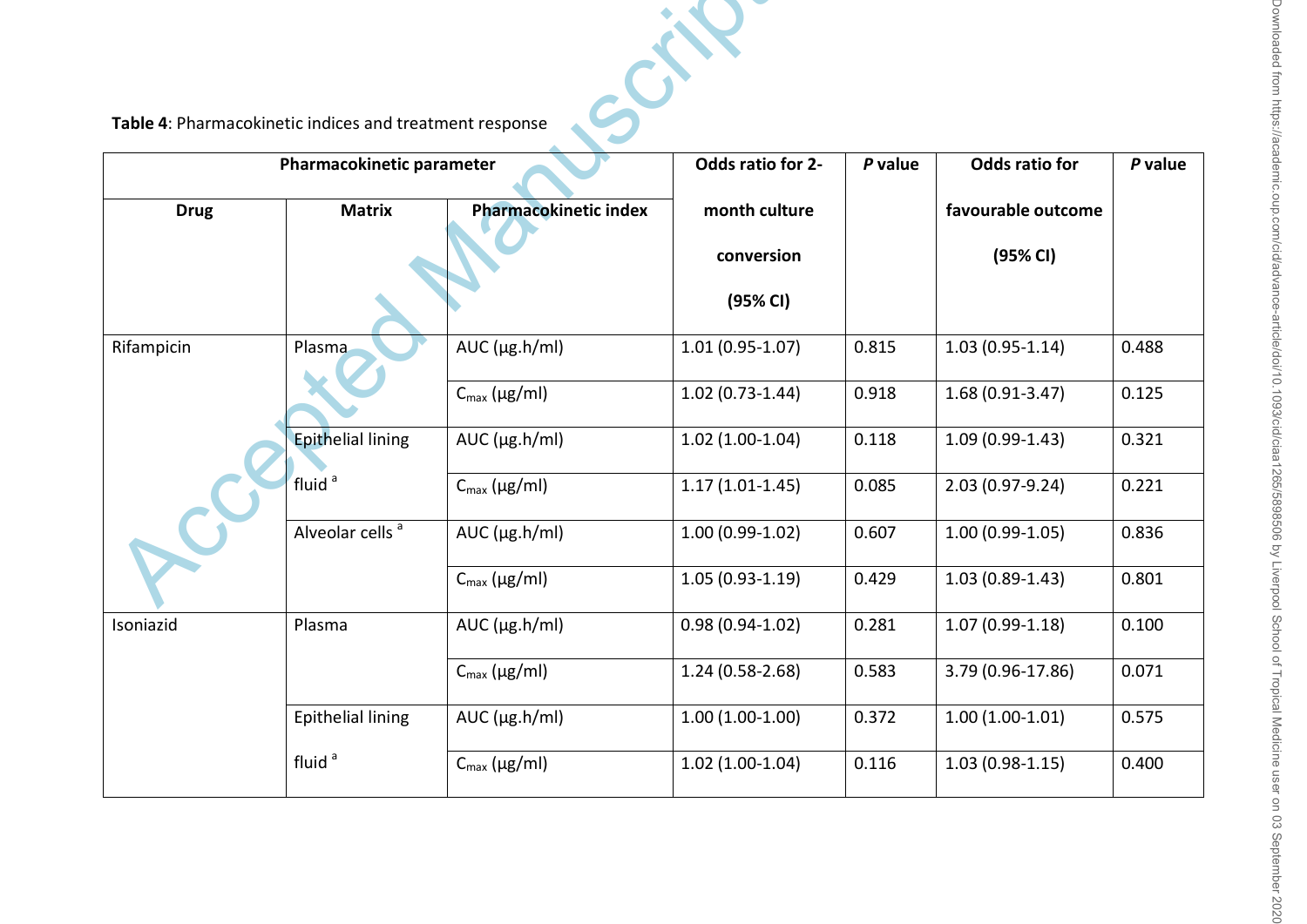# Table 4: Pharmacokinetic indices and treatment response

| Table 4: Pharmacokinetic indices and treatment response |                             |                              |                     |         |                       |         |
|---------------------------------------------------------|-----------------------------|------------------------------|---------------------|---------|-----------------------|---------|
|                                                         | Pharmacokinetic parameter   |                              | Odds ratio for 2-   | P value | <b>Odds ratio for</b> | P value |
| <b>Drug</b>                                             | <b>Matrix</b>               | <b>Pharmacokinetic index</b> | month culture       |         | favourable outcome    |         |
|                                                         |                             |                              | conversion          |         | (95% CI)              |         |
|                                                         |                             |                              | (95% CI)            |         |                       |         |
| Rifampicin                                              | Plasma                      | $AUC$ ( $\mu$ g.h/ml)        | $1.01(0.95 - 1.07)$ | 0.815   | $1.03(0.95 - 1.14)$   | 0.488   |
|                                                         |                             | $C_{\text{max}}$ (µg/ml)     | $1.02(0.73-1.44)$   | 0.918   | $1.68(0.91-3.47)$     | 0.125   |
|                                                         | <b>Epithelial lining</b>    | $AUC$ ( $\mu$ g.h/ml)        | $1.02(1.00-1.04)$   | 0.118   | $1.09(0.99-1.43)$     | 0.321   |
|                                                         | fluid <sup>a</sup>          | $C_{\text{max}}$ (µg/ml)     | $1.17(1.01-1.45)$   | 0.085   | $2.03(0.97-9.24)$     | 0.221   |
|                                                         | Alveolar cells <sup>a</sup> | $AUC$ ( $\mu$ g.h/ml)        | $1.00(0.99-1.02)$   | 0.607   | $1.00(0.99-1.05)$     | 0.836   |
|                                                         |                             | $C_{\text{max}}$ (µg/ml)     | $1.05(0.93-1.19)$   | 0.429   | $1.03(0.89-1.43)$     | 0.801   |
| Isoniazid                                               | Plasma                      | $AUC$ ( $\mu$ g.h/ml)        | $0.98(0.94 - 1.02)$ | 0.281   | $1.07(0.99-1.18)$     | 0.100   |
|                                                         |                             | $C_{\text{max}}$ (µg/ml)     | $1.24(0.58-2.68)$   | 0.583   | 3.79 (0.96-17.86)     | 0.071   |
|                                                         | <b>Epithelial lining</b>    | $AUC$ ( $\mu$ g.h/ml)        | $1.00(1.00-1.00)$   | 0.372   | $1.00(1.00-1.01)$     | 0.575   |
|                                                         | fluid <sup>a</sup>          | $C_{\text{max}}$ (µg/ml)     | $1.02(1.00-1.04)$   | 0.116   | $1.03(0.98-1.15)$     | 0.400   |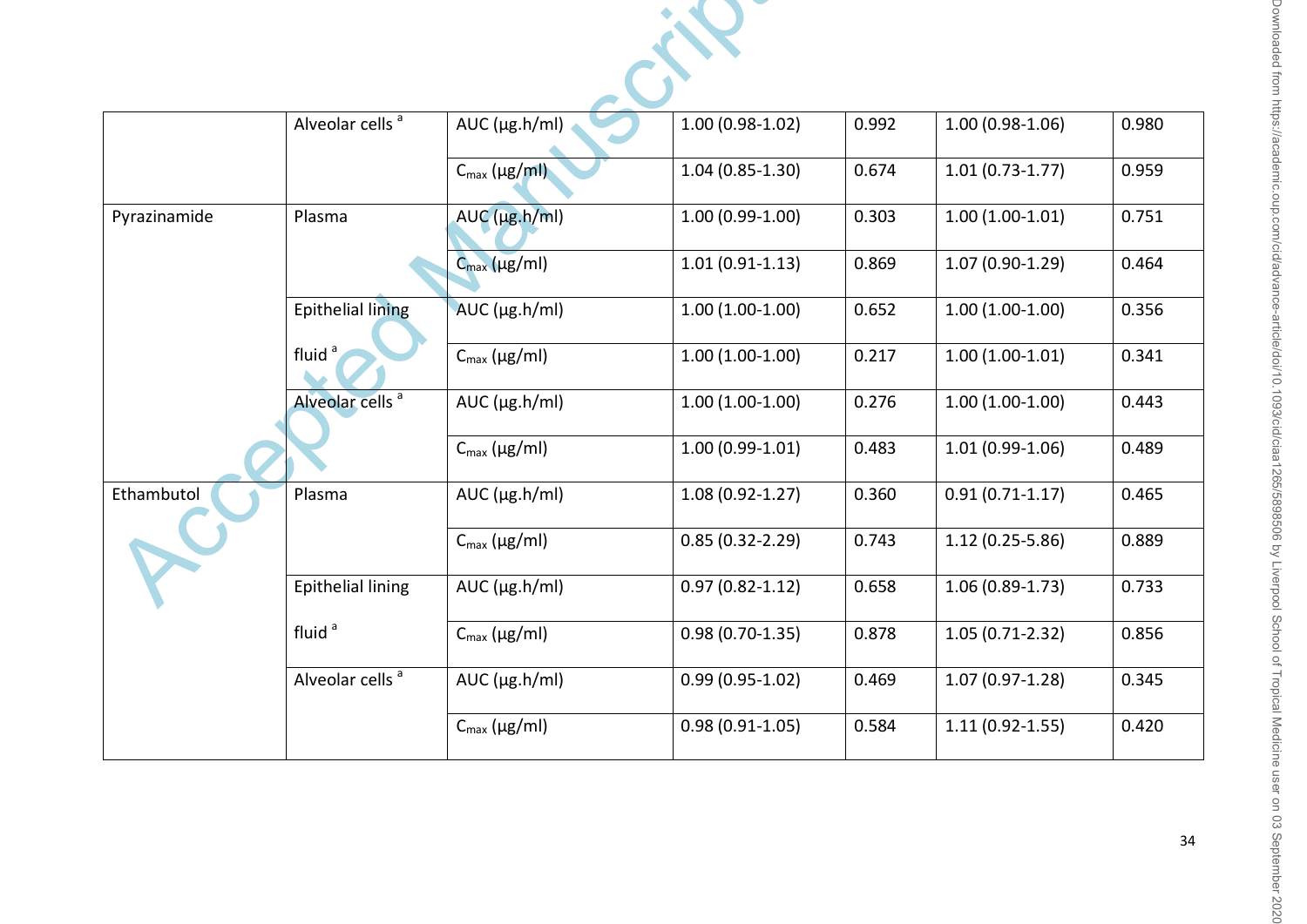|              | Alveolar cells <sup>a</sup> | AUC (µg.h/ml)              | $1.00(0.98-1.02)$   | 0.992 | $1.00(0.98-1.06)$   | 0.980 |
|--------------|-----------------------------|----------------------------|---------------------|-------|---------------------|-------|
|              |                             | $C_{\text{max}}$ (µg/ml)   | $1.04(0.85-1.30)$   | 0.674 | $1.01(0.73-1.77)$   | 0.959 |
| Pyrazinamide | Plasma                      | $AUC$ ( $\mu$ g.h/ml)      | $1.00(0.99-1.00)$   | 0.303 | $1.00(1.00-1.01)$   | 0.751 |
|              |                             | $C_{\text{max}}(\mu g/ml)$ | $1.01(0.91 - 1.13)$ | 0.869 | $1.07(0.90-1.29)$   | 0.464 |
|              | <b>Epithelial lining</b>    | AUC $(\mu g.h/ml)$         | $1.00(1.00-1.00)$   | 0.652 | $1.00(1.00-1.00)$   | 0.356 |
|              | fluid <sup>a</sup>          | $C_{\text{max}}$ (µg/ml)   | $1.00(1.00-1.00)$   | 0.217 | $1.00(1.00-1.01)$   | 0.341 |
|              | Alveolar cells <sup>a</sup> | $AUC$ ( $\mu$ g.h/ml)      | $1.00(1.00-1.00)$   | 0.276 | $1.00(1.00-1.00)$   | 0.443 |
|              |                             | $C_{\text{max}}$ (µg/ml)   | $1.00(0.99-1.01)$   | 0.483 | $1.01(0.99-1.06)$   | 0.489 |
| Ethambutol   | Plasma                      | $AUC$ ( $\mu$ g.h/ml)      | $1.08(0.92 - 1.27)$ | 0.360 | $0.91(0.71-1.17)$   | 0.465 |
|              |                             | $C_{\text{max}}$ (µg/ml)   | $0.85(0.32 - 2.29)$ | 0.743 | $1.12(0.25 - 5.86)$ | 0.889 |
|              | <b>Epithelial lining</b>    | $AUC$ ( $\mu$ g.h/ml)      | $0.97(0.82 - 1.12)$ | 0.658 | $1.06(0.89-1.73)$   | 0.733 |
|              | fluid <sup>a</sup>          | $C_{\text{max}}$ (µg/ml)   | $0.98(0.70-1.35)$   | 0.878 | $1.05(0.71-2.32)$   | 0.856 |
|              | Alveolar cells <sup>a</sup> | $AUC$ ( $\mu$ g.h/ml)      | $0.99(0.95 - 1.02)$ | 0.469 | $1.07(0.97 - 1.28)$ | 0.345 |
|              |                             | $C_{\text{max}}$ (µg/ml)   | $0.98(0.91 - 1.05)$ | 0.584 | $1.11(0.92 - 1.55)$ | 0.420 |
|              |                             |                            |                     |       |                     |       |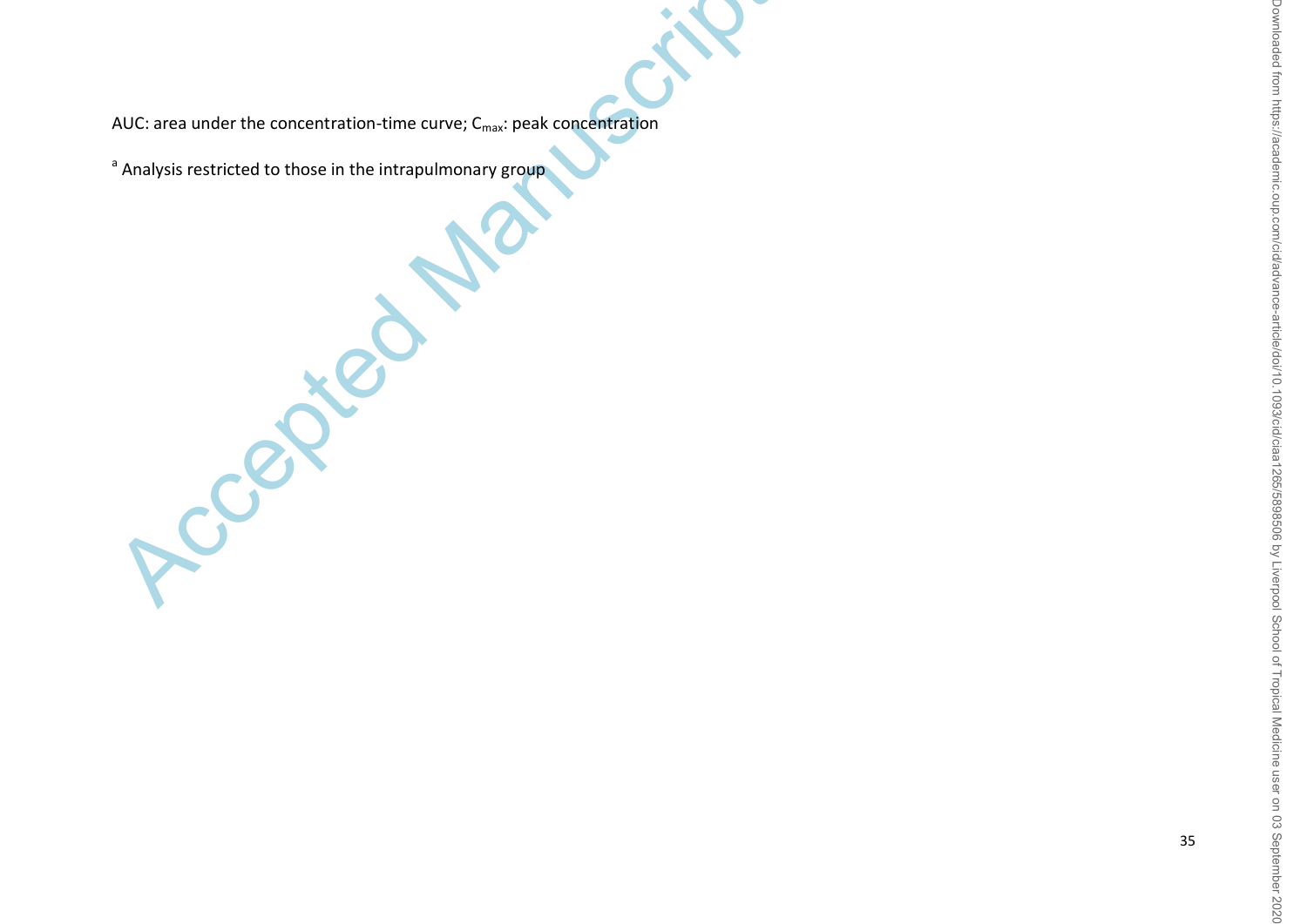AUC: area under the concentration-time curve;  $C_{\text{max}}$ : peak concentration

<sup>a</sup> Analysis restricted to those in the intrapulmonary group

Cccepte

35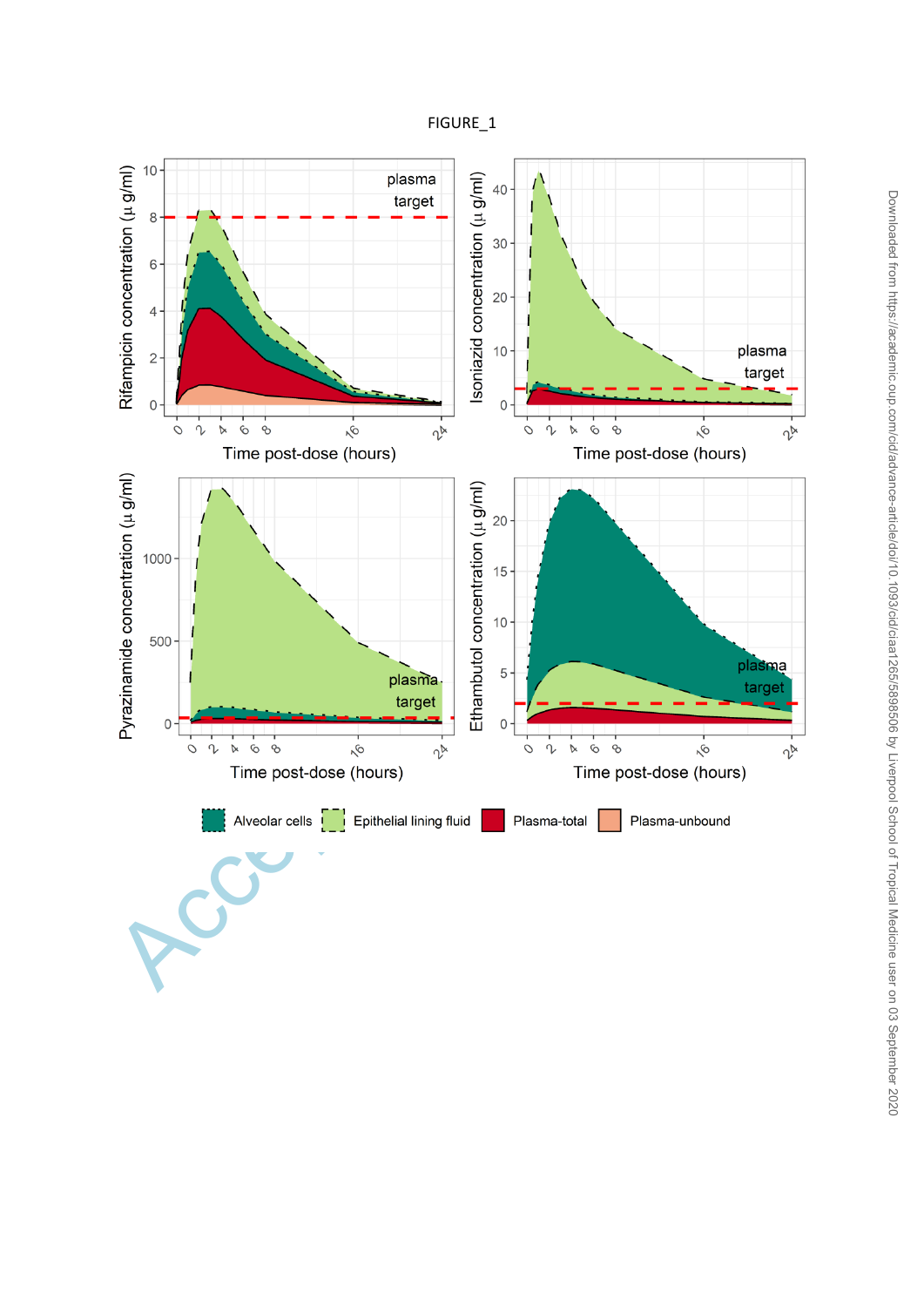## FIGURE\_1